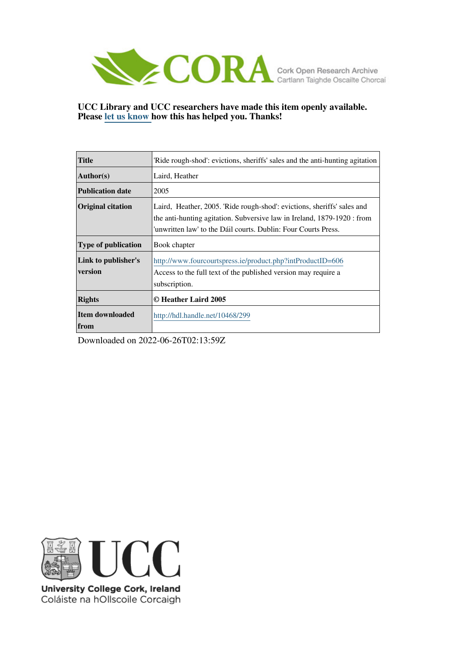

**UCC Library and UCC researchers have made this item openly available. Please [let us know h](https://libguides.ucc.ie/openaccess/impact?suffix=299&title=)ow this has helped you. Thanks!**

| <b>Title</b>                   | 'Ride rough-shod': evictions, sheriffs' sales and the anti-hunting agitation                                                                                                                                        |
|--------------------------------|---------------------------------------------------------------------------------------------------------------------------------------------------------------------------------------------------------------------|
| <b>Author(s)</b>               | Laird, Heather                                                                                                                                                                                                      |
| <b>Publication date</b>        | 2005                                                                                                                                                                                                                |
| <b>Original citation</b>       | Laird, Heather, 2005. Ride rough-shod': evictions, sheriffs' sales and<br>the anti-hunting agitation. Subversive law in Ireland, 1879-1920 : from<br>'unwritten law' to the Dáil courts. Dublin: Four Courts Press. |
| <b>Type of publication</b>     | Book chapter                                                                                                                                                                                                        |
| Link to publisher's<br>version | http://www.fourcourtspress.ie/product.php?intProductID=606<br>Access to the full text of the published version may require a<br>subscription.                                                                       |
| <b>Rights</b>                  | © Heather Laird 2005                                                                                                                                                                                                |
| <b>Item downloaded</b><br>from | http://hdl.handle.net/10468/299                                                                                                                                                                                     |

Downloaded on 2022-06-26T02:13:59Z



University College Cork, Ireland Coláiste na hOllscoile Corcaigh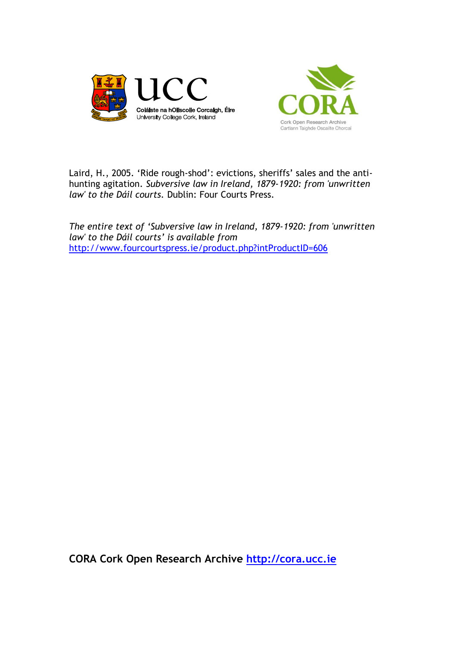



Laird, H., 2005. 'Ride rough-shod': evictions, sheriffs' sales and the antihunting agitation. *Subversive law in Ireland, 1879-1920: from 'unwritten law' to the Dáil courts.* Dublin: Four Courts Press.

*The entire text of 'Subversive law in Ireland, 1879-1920: from 'unwritten law' to the Dáil courts' is available from*  <http://www.fourcourtspress.ie/product.php?intProductID=606>

**CORA Cork Open Research Archive [http://cora.ucc.ie](http://cora.ucc.ie/)**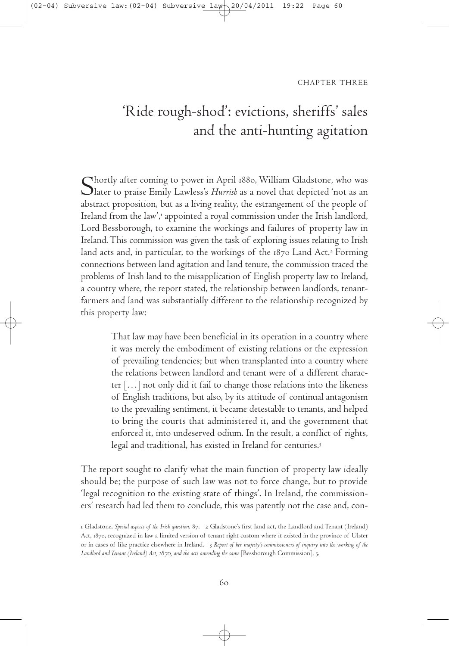CHAPTER THREE

# 'Ride rough-shod': evictions, sheriffs' sales and the anti-hunting agitation

Shortly after coming to power in April 1880, William Gladstone, who was<br>Slater to praise Emily Lawless's *Hurrish* as a novel that depicted 'not as an abstract proposition, but as a living reality, the estrangement of the people of Ireland from the law',<sub>'</sub> appointed a royal commission under the Irish landlord, Lord Bessborough, to examine the workings and failures of property law in Ireland.This commission was given the task of exploring issues relating to Irish land acts and, in particular, to the workings of the 1870 Land Act.<sup>2</sup> Forming connections between land agitation and land tenure, the commission traced the problems of Irish land to the misapplication of English property law to Ireland, a country where, the report stated, the relationship between landlords, tenantfarmers and land was substantially different to the relationship recognized by this property law:

> That law may have been beneficial in its operation in a country where it was merely the embodiment of existing relations or the expression of prevailing tendencies; but when transplanted into a country where the relations between landlord and tenant were of a different character […] not only did it fail to change those relations into the likeness of English traditions, but also, by its attitude of continual antagonism to the prevailing sentiment, it became detestable to tenants, and helped to bring the courts that administered it, and the government that enforced it, into undeserved odium. In the result, a conflict of rights, legal and traditional, has existed in Ireland for centuries.

The report sought to clarify what the main function of property law ideally should be; the purpose of such law was not to force change, but to provide 'legal recognition to the existing state of things'. In Ireland, the commissioners' research had led them to conclude, this was patently not the case and, con-

Gladstone, *Special aspects of the Irish question*, . Gladstone's first land act, the Landlord andTenant (Ireland) Act, 1870, recognized in law a limited version of tenant right custom where it existed in the province of Ulster or in cases of like practice elsewhere in Ireland. *Report of her majesty's commissioners of inquiry into the working of the Landlord and Tenant (Ireland) Act, , and the acts amending the same* [Bessborough Commission], .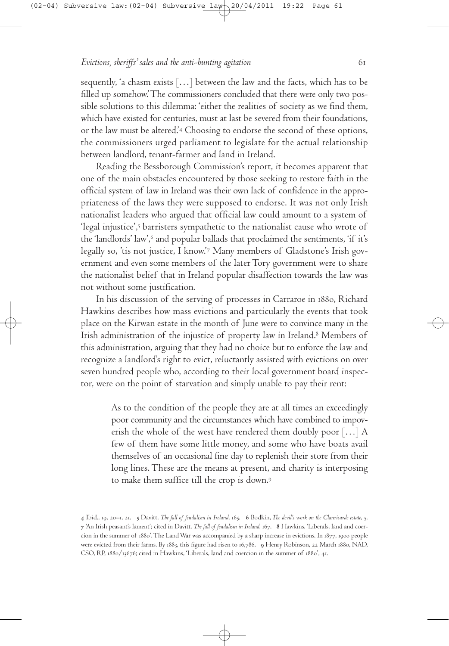sequently, 'a chasm exists […] between the law and the facts, which has to be filled up somehow.'The commissioners concluded that there were only two possible solutions to this dilemma: 'either the realities of society as we find them, which have existed for centuries, must at last be severed from their foundations, or the law must be altered.' Choosing to endorse the second of these options, the commissioners urged parliament to legislate for the actual relationship between landlord, tenant-farmer and land in Ireland.

Reading the Bessborough Commission's report, it becomes apparent that one of the main obstacles encountered by those seeking to restore faith in the official system of law in Ireland was their own lack of confidence in the appropriateness of the laws they were supposed to endorse. It was not only Irish nationalist leaders who argued that official law could amount to a system of 'legal injustice', barristers sympathetic to the nationalist cause who wrote of the 'landlords' law',<sup>6</sup> and popular ballads that proclaimed the sentiments, 'if it's legally so, 'tis not justice, I know.' Many members of Gladstone's Irish government and even some members of the laterTory government were to share the nationalist belief that in Ireland popular disaffection towards the law was not without some justification.

In his discussion of the serving of processes in Carraroe in 1880, Richard Hawkins describes how mass evictions and particularly the events that took place on the Kirwan estate in the month of June were to convince many in the Irish administration of the injustice of property law in Ireland. Members of this administration, arguing that they had no choice but to enforce the law and recognize a landlord's right to evict, reluctantly assisted with evictions on over seven hundred people who, according to their local government board inspector, were on the point of starvation and simply unable to pay their rent:

> As to the condition of the people they are at all times an exceedingly poor community and the circumstances which have combined to impoverish the whole of the west have rendered them doubly poor […] A few of them have some little money, and some who have boats avail themselves of an occasional fine day to replenish their store from their long lines.These are the means at present, and charity is interposing to make them suffice till the crop is down.

<sup>4</sup> Ibid., 19, 20-1, 21. 5 Davitt, The fall of feudalism in Ireland, 165. 6 Bodkin, The devil's work on the Clanricarde estate, 5. 'An Irish peasant's lament'; cited in Davitt, *The fall of feudalism in Ireland*, . Hawkins, 'Liberals, land and coercion in the summer of 1880'. The Land War was accompanied by a sharp increase in evictions. In 1877, 1900 people were evicted from their farms. By 1883, this figure had risen to 16,786. 9 Henry Robinson, 22 March 1880, NAD, CSO, RP, 1880/13676; cited in Hawkins, 'Liberals, land and coercion in the summer of 1880', 41.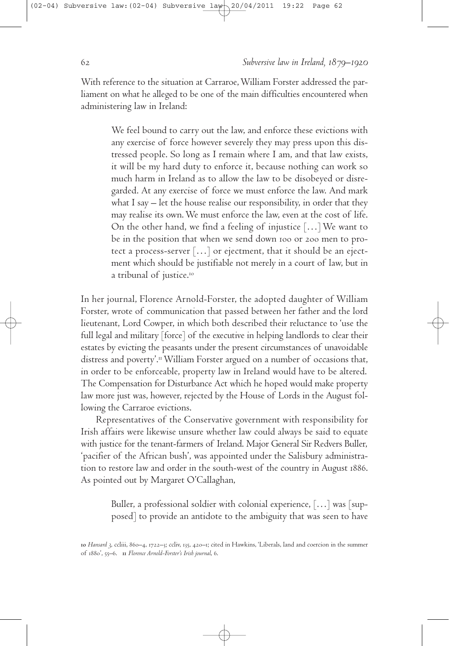*Subversive law in Ireland, ‒*

With reference to the situation at Carraroe,William Forster addressed the parliament on what he alleged to be one of the main difficulties encountered when administering law in Ireland:

> We feel bound to carry out the law, and enforce these evictions with any exercise of force however severely they may press upon this distressed people. So long as I remain where I am, and that law exists, it will be my hard duty to enforce it, because nothing can work so much harm in Ireland as to allow the law to be disobeyed or disregarded. At any exercise of force we must enforce the law. And mark what I say – let the house realise our responsibility, in order that they may realise its own.We must enforce the law, even at the cost of life. On the other hand, we find a feeling of injustice […] We want to be in the position that when we send down 100 or 200 men to protect a process-server […] or ejectment, that it should be an ejectment which should be justifiable not merely in a court of law, but in a tribunal of justice.

In her journal, Florence Arnold-Forster, the adopted daughter of William Forster, wrote of communication that passed between her father and the lord lieutenant, Lord Cowper, in which both described their reluctance to 'use the full legal and military [force] of the executive in helping landlords to clear their estates by evicting the peasants under the present circumstances of unavoidable distress and poverty'. William Forster argued on a number of occasions that, in order to be enforceable, property law in Ireland would have to be altered. The Compensation for Disturbance Act which he hoped would make property law more just was, however, rejected by the House of Lords in the August following the Carraroe evictions.

Representatives of the Conservative government with responsibility for Irish affairs were likewise unsure whether law could always be said to equate with justice for the tenant-farmers of Ireland. Major General Sir Redvers Buller, 'pacifier of the African bush', was appointed under the Salisbury administration to restore law and order in the south-west of the country in August 1886. As pointed out by Margaret O'Callaghan,

> Buller, a professional soldier with colonial experience, […] was [supposed] to provide an antidote to the ambiguity that was seen to have

<sup>10</sup> Hansard 3, ccliii, 860-4, 1722-3; ccliv, 135, 420-1; cited in Hawkins, 'Liberals, land and coercion in the summer of 1880', 55-6. II Florence Arnold-Forster's Irish journal, 6.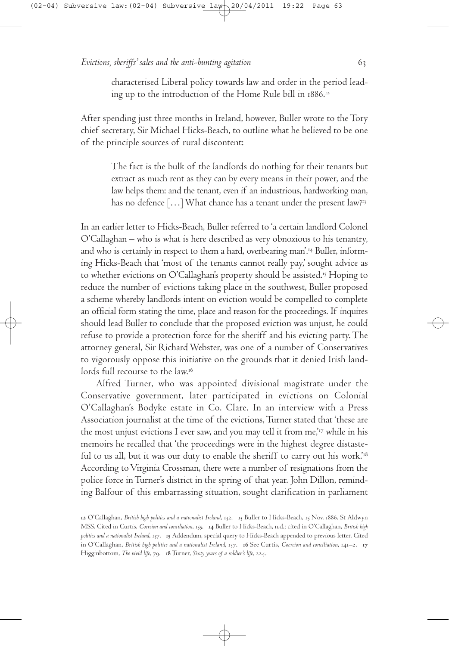characterised Liberal policy towards law and order in the period leading up to the introduction of the Home Rule bill in 1886.<sup>12</sup>

After spending just three months in Ireland, however, Buller wrote to theTory chief secretary, Sir Michael Hicks-Beach, to outline what he believed to be one of the principle sources of rural discontent:

> The fact is the bulk of the landlords do nothing for their tenants but extract as much rent as they can by every means in their power, and the law helps them: and the tenant, even if an industrious, hardworking man, has no defence  $\left[\ldots\right]$  What chance has a tenant under the present law?<sup>13</sup>

In an earlier letter to Hicks-Beach, Buller referred to 'a certain landlord Colonel O'Callaghan – who is what is here described as very obnoxious to his tenantry, and who is certainly in respect to them a hard, overbearing man'.<sup>14</sup> Buller, informing Hicks-Beach that 'most of the tenants cannot really pay,' sought advice as to whether evictions on O'Callaghan's property should be assisted.<sup>15</sup> Hoping to reduce the number of evictions taking place in the southwest, Buller proposed a scheme whereby landlords intent on eviction would be compelled to complete an official form stating the time, place and reason for the proceedings. If inquires should lead Buller to conclude that the proposed eviction was unjust, he could refuse to provide a protection force for the sheriff and his evicting party.The attorney general, Sir RichardWebster, was one of a number of Conservatives to vigorously oppose this initiative on the grounds that it denied Irish landlords full recourse to the law.

Alfred Turner, who was appointed divisional magistrate under the Conservative government, later participated in evictions on Colonial O'Callaghan's Bodyke estate in Co. Clare. In an interview with a Press Association journalist at the time of the evictions,Turner stated that 'these are the most unjust evictions I ever saw, and you may tell it from me,''7 while in his memoirs he recalled that 'the proceedings were in the highest degree distasteful to us all, but it was our duty to enable the sheriff to carry out his work.' $\cdot^{\text{r}}$ According toVirginia Crossman, there were a number of resignations from the police force inTurner's district in the spring of that year. John Dillon, reminding Balfour of this embarrassing situation, sought clarification in parliament

<sup>12</sup> O'Callaghan, *British high politics and a nationalist Ireland, 132.* 13 Buller to Hicks-Beach, 15 Nov. 1886. St Aldwyn MSS. Cited in Curtis, *Coercion and conciliation*, 155. 14 Buller to Hicks-Beach, n.d.; cited in O'Callaghan, *British high politics* and a nationalist Ireland, 137. 15 Addendum, special query to Hicks-Beach appended to previous letter. Cited in O'Callaghan, *British high politics and a nationalist Ireland*, 137. 16 See Curtis, *Coercion and conciliation*, 141-2. 17 Higginbottom, *The vivid life*, 79. **18 Turner**, *Sixty years of a soldier's life*, 224.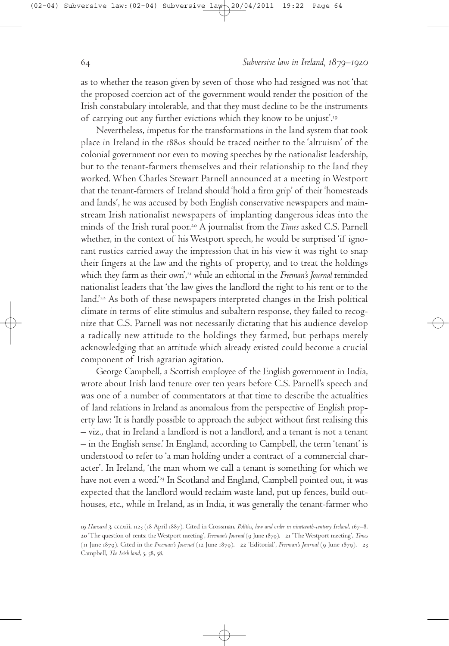# *Subversive law in Ireland, ‒*

as to whether the reason given by seven of those who had resigned was not 'that the proposed coercion act of the government would render the position of the Irish constabulary intolerable, and that they must decline to be the instruments of carrying out any further evictions which they know to be unjust'.

Nevertheless, impetus for the transformations in the land system that took place in Ireland in the 1880s should be traced neither to the 'altruism' of the colonial government nor even to moving speeches by the nationalist leadership, but to the tenant-farmers themselves and their relationship to the land they worked. When Charles Stewart Parnell announced at a meeting in Westport that the tenant-farmers of Ireland should 'hold a firm grip' of their 'homesteads and lands', he was accused by both English conservative newspapers and mainstream Irish nationalist newspapers of implanting dangerous ideas into the minds of the Irish rural poor. A journalist from the *Times* asked C.S. Parnell whether, in the context of his Westport speech, he would be surprised 'if ignorant rustics carried away the impression that in his view it was right to snap their fingers at the law and the rights of property, and to treat the holdings which they farm as their own',<sup>21</sup> while an editorial in the *Freeman's Journal* reminded nationalist leaders that 'the law gives the landlord the right to his rent or to the land.' As both of these newspapers interpreted changes in the Irish political climate in terms of elite stimulus and subaltern response, they failed to recognize that C.S. Parnell was not necessarily dictating that his audience develop a radically new attitude to the holdings they farmed, but perhaps merely acknowledging that an attitude which already existed could become a crucial component of Irish agrarian agitation.

George Campbell, a Scottish employee of the English government in India, wrote about Irish land tenure over ten years before C.S. Parnell's speech and was one of a number of commentators at that time to describe the actualities of land relations in Ireland as anomalous from the perspective of English property law: 'It is hardly possible to approach the subject without first realising this – viz., that in Ireland a landlord is not a landlord, and a tenant is not a tenant – in the English sense.' In England, according to Campbell, the term 'tenant' is understood to refer to 'a man holding under a contract of a commercial character'. In Ireland, 'the man whom we call a tenant is something for which we have not even a word.'23 In Scotland and England, Campbell pointed out, it was expected that the landlord would reclaim waste land, put up fences, build outhouses, etc., while in Ireland, as in India, it was generally the tenant-farmer who

*Hansard* , cccxiii, ( April ). Cited in Crossman, *Politics, law and order in nineteenth-century Ireland*, –. 20 'The question of rents: the Westport meeting', *Freeman's Journal* (9 June 1879). 21 'The Westport meeting', *Times* (11 June 1879). Cited in the *Freeman's Journal* (12 June 1879). 22 'Editorial', *Freeman's Journal* (9 June 1879). 23 Campbell, *The Irish land*, 5, 58, 58.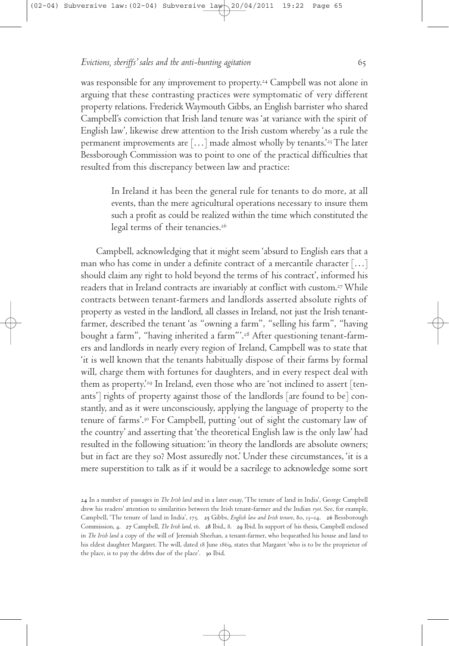was responsible for any improvement to property. Campbell was not alone in arguing that these contrasting practices were symptomatic of very different property relations. FrederickWaymouth Gibbs, an English barrister who shared Campbell's conviction that Irish land tenure was 'at variance with the spirit of English law', likewise drew attention to the Irish custom whereby 'as a rule the permanent improvements are  $[\ldots]$  made almost wholly by tenants.' $^{25}$  The later Bessborough Commission was to point to one of the practical difficulties that resulted from this discrepancy between law and practice:

> In Ireland it has been the general rule for tenants to do more, at all events, than the mere agricultural operations necessary to insure them such a profit as could be realized within the time which constituted the legal terms of their tenancies.

Campbell, acknowledging that it might seem 'absurd to English ears that a man who has come in under a definite contract of a mercantile character […] should claim any right to hold beyond the terms of his contract', informed his readers that in Ireland contracts are invariably at conflict with custom. While contracts between tenant-farmers and landlords asserted absolute rights of property as vested in the landlord, all classes in Ireland, not just the Irish tenantfarmer, described the tenant 'as "owning a farm", "selling his farm", "having bought a farm", "having inherited a farm"'. After questioning tenant-farmers and landlords in nearly every region of Ireland, Campbell was to state that 'it is well known that the tenants habitually dispose of their farms by formal will, charge them with fortunes for daughters, and in every respect deal with them as property.' In Ireland, even those who are 'not inclined to assert [tenants'] rights of property against those of the landlords [are found to be] constantly, and as it were unconsciously, applying the language of property to the tenure of farms'. For Campbell, putting 'out of sight the customary law of the country'and asserting that 'the theoretical English law is the only law' had resulted in the following situation: 'in theory the landlords are absolute owners; but in fact are they so? Most assuredly not.' Under these circumstances, 'it is a mere superstition to talk as if it would be a sacrilege to acknowledge some sort

In a number of passages in *The Irish land* and in a later essay, 'The tenure of land in India', George Campbell drew his readers' attention to similarities between the Irish tenant-farmer and the Indian *ryot*. See, for example, Campbell, 'The tenure of land in India', 175. 25 Gibbs, *English law and Irish tenure*, 80, 13-14. 26 Bessborough Commission, 4. 27 Campbell, *The Irish land*, 16. 28 Ibid., 8. 29 Ibid. In support of his thesis, Campbell enclosed in *The Irish land* a copy of the will of Jeremiah Sheehan, a tenant-farmer, who bequeathed his house and land to his eldest daughter Margaret. The will, dated 18 June 1869, states that Margaret 'who is to be the proprietor of the place, is to pay the debts due of the place'. 30 Ibid.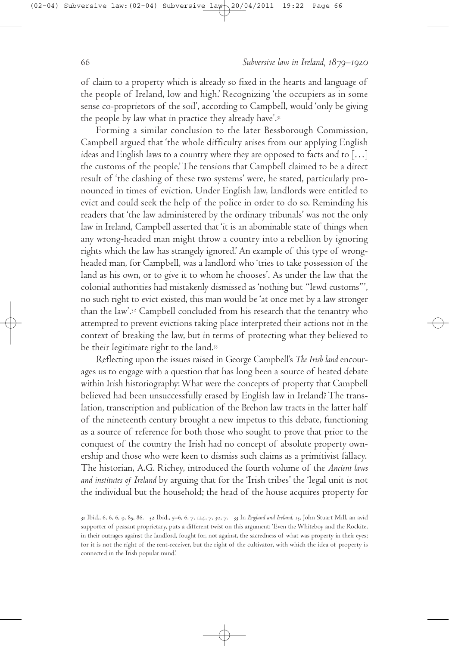of claim to a property which is already so fixed in the hearts and language of the people of Ireland, low and high.' Recognizing 'the occupiers as in some sense co-proprietors of the soil', according to Campbell, would 'only be giving the people by law what in practice they already have'.

Forming a similar conclusion to the later Bessborough Commission, Campbell argued that 'the whole difficulty arises from our applying English ideas and English laws to a country where they are opposed to facts and to […] the customs of the people.'The tensions that Campbell claimed to be a direct result of 'the clashing of these two systems' were, he stated, particularly pronounced in times of eviction. Under English law, landlords were entitled to evict and could seek the help of the police in order to do so. Reminding his readers that 'the law administered by the ordinary tribunals' was not the only law in Ireland, Campbell asserted that 'it is an abominable state of things when any wrong-headed man might throw a country into a rebellion by ignoring rights which the law has strangely ignored.' An example of this type of wrongheaded man, for Campbell, was a landlord who 'tries to take possession of the land as his own, or to give it to whom he chooses'. As under the law that the colonial authorities had mistakenly dismissed as 'nothing but "lewd customs"', no such right to evict existed, this man would be'at once met by a law stronger than the law'. Campbell concluded from his research that the tenantry who attempted to prevent evictions taking place interpreted their actions not in the context of breaking the law, but in terms of protecting what they believed to be their legitimate right to the land.

Reflecting upon the issues raised in George Campbell's *The Irish land* encourages us to engage with a question that has long been a source of heated debate within Irish historiography:What were the concepts of property that Campbell believed had been unsuccessfully erased by English law in Ireland?The translation, transcription and publication of the Brehon law tracts in the latter half of the nineteenth century brought a new impetus to this debate, functioning as a source of reference for both those who sought to prove that prior to the conquest of the country the Irish had no concept of absolute property ownership and those who were keen to dismiss such claims as a primitivist fallacy. The historian, A.G. Richey, introduced the fourth volume of the *Ancient laws and institutes of Ireland* by arguing that for the 'Irish tribes' the 'legal unit is not the individual but the household; the head of the house acquires property for

<sup>31</sup> Ibid., 6, 6, 6, 9, 85, 86. 32 Ibid., 5-6, 6, 7, 124, 7, 30, 7. 33 In *England and Ireland*, 13, John Stuart Mill, an avid supporter of peasant proprietary, puts a different twist on this argument: 'Even theWhiteboy and the Rockite, in their outrages against the landlord, fought for, not against, the sacredness of what was property in their eyes; for it is not the right of the rent-receiver, but the right of the cultivator, with which the idea of property is connected in the Irish popular mind.'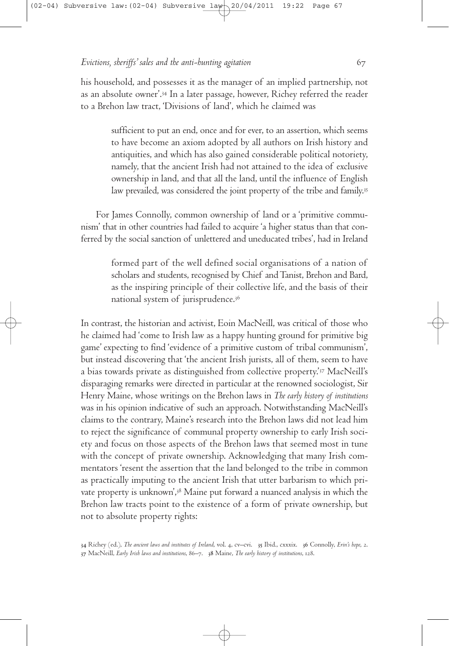his household, and possesses it as the manager of an implied partnership, not as an absolute owner'. In a later passage, however, Richey referred the reader to a Brehon law tract, 'Divisions of land', which he claimed was

> sufficient to put an end, once and for ever, to an assertion, which seems to have become an axiom adopted by all authors on Irish history and antiquities, and which has also gained considerable political notoriety, namely, that the ancient Irish had not attained to the idea of exclusive ownership in land, and that all the land, until the influence of English law prevailed, was considered the joint property of the tribe and family.<sup>35</sup>

For James Connolly, common ownership of land or a 'primitive communism' that in other countries had failed to acquire'a higher status than that conferred by the social sanction of unlettered and uneducated tribes', had in Ireland

> formed part of the well defined social organisations of a nation of scholars and students, recognised by Chief andTanist, Brehon and Bard, as the inspiring principle of their collective life, and the basis of their national system of jurisprudence.

In contrast, the historian and activist, Eoin MacNeill, was critical of those who he claimed had 'come to Irish law as a happy hunting ground for primitive big game'expecting to find 'evidence of a primitive custom of tribal communism', but instead discovering that 'the ancient Irish jurists, all of them, seem to have a bias towards private as distinguished from collective property.' MacNeill's disparaging remarks were directed in particular at the renowned sociologist, Sir Henry Maine, whose writings on the Brehon laws in *The early history of institutions* was in his opinion indicative of such an approach. Notwithstanding MacNeill's claims to the contrary, Maine's research into the Brehon laws did not lead him to reject the significance of communal property ownership to early Irish society and focus on those aspects of the Brehon laws that seemed most in tune with the concept of private ownership. Acknowledging that many Irish commentators 'resent the assertion that the land belonged to the tribe in common as practically imputing to the ancient Irish that utter barbarism to which private property is unknown', Maine put forward a nuanced analysis in which the Brehon law tracts point to the existence of a form of private ownership, but not to absolute property rights:

34 Richey (ed.), *The ancient laws and institutes of Ireland, vol. 4, cv–cvi.* 35 Ibid., cxxxix. 36 Connolly, *Erin's hope*, 2. 37 MacNeill, *Early Irish laws and institutions*, 86-7. 38 Maine, *The early history of institutions*, 128.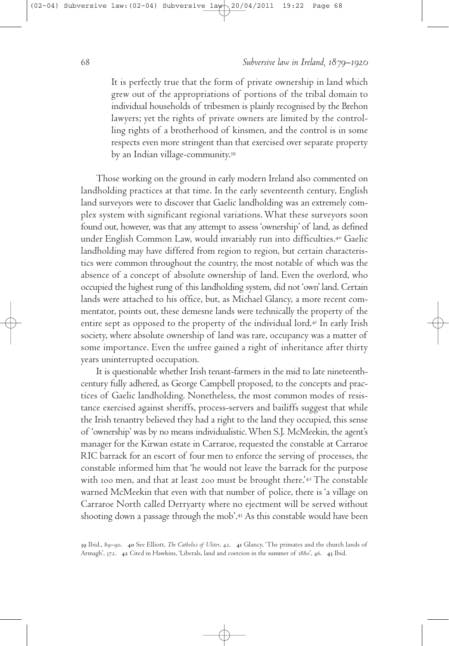It is perfectly true that the form of private ownership in land which grew out of the appropriations of portions of the tribal domain to individual households of tribesmen is plainly recognised by the Brehon lawyers; yet the rights of private owners are limited by the controlling rights of a brotherhood of kinsmen, and the control is in some respects even more stringent than that exercised over separate property by an Indian village-community.

Those working on the ground in early modern Ireland also commented on landholding practices at that time. In the early seventeenth century, English land surveyors were to discover that Gaelic landholding was an extremely complex system with significant regional variations. What these surveyors soon found out, however, was that any attempt to assess 'ownership' of land, as defined under English Common Law, would invariably run into difficulties. Gaelic landholding may have differed from region to region, but certain characteristics were common throughout the country, the most notable of which was the absence of a concept of absolute ownership of land. Even the overlord, who occupied the highest rung of this landholding system, did not 'own' land. Certain lands were attached to his office, but, as Michael Glancy, a more recent commentator, points out, these demesne lands were technically the property of the entire sept as opposed to the property of the individual lord.41 In early Irish society, where absolute ownership of land was rare, occupancy was a matter of some importance. Even the unfree gained a right of inheritance after thirty years uninterrupted occupation.

It is questionable whether Irish tenant-farmers in the mid to late nineteenthcentury fully adhered, as George Campbell proposed, to the concepts and practices of Gaelic landholding. Nonetheless, the most common modes of resistance exercised against sheriffs, process-servers and bailiffs suggest that while the Irish tenantry believed they had a right to the land they occupied, this sense of 'ownership' was by no means individualistic.When S.J. McMeekin, the agent's manager for the Kirwan estate in Carraroe, requested the constable at Carraroe RIC barrack for an escort of four men to enforce the serving of processes, the constable informed him that 'he would not leave the barrack for the purpose with 100 men, and that at least 200 must be brought there.'42 The constable warned McMeekin that even with that number of police, there is 'a village on Carraroe North called Derryarty where no ejectment will be served without shooting down a passage through the mob'. As this constable would have been

<sup>39</sup> Ibid., 89–90. 40 See Elliott, *The Catholics of Ulster*, 42. 41 Glancy, 'The primates and the church lands of Armagh', 372. 42 Cited in Hawkins, 'Liberals, land and coercion in the summer of 1880', 46. 43 Ibid.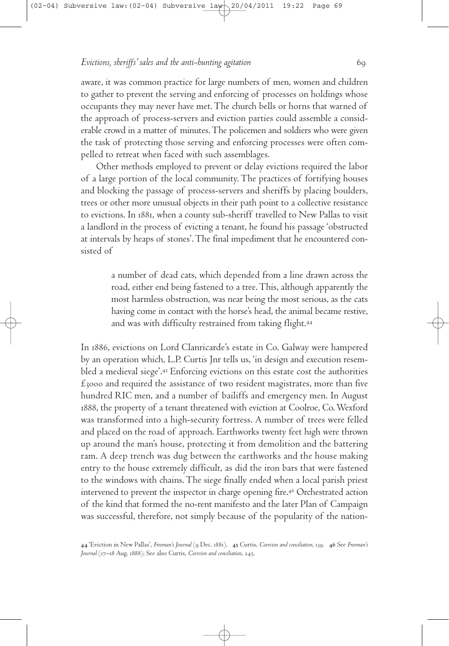aware, it was common practice for large numbers of men, women and children to gather to prevent the serving and enforcing of processes on holdings whose occupants they may never have met.The church bells or horns that warned of the approach of process-servers and eviction parties could assemble a considerable crowd in a matter of minutes.The policemen and soldiers who were given the task of protecting those serving and enforcing processes were often compelled to retreat when faced with such assemblages.

Other methods employed to prevent or delay evictions required the labor of a large portion of the local community.The practices of fortifying houses and blocking the passage of process-servers and sheriffs by placing boulders, trees or other more unusual objects in their path point to a collective resistance to evictions. In 1881, when a county sub-sheriff travelled to New Pallas to visit a landlord in the process of evicting a tenant, he found his passage'obstructed at intervals by heaps of stones'.The final impediment that he encountered consisted of

> a number of dead cats, which depended from a line drawn across the road, either end being fastened to a tree.This, although apparently the most harmless obstruction, was near being the most serious, as the cats having come in contact with the horse's head, the animal became restive, and was with difficulty restrained from taking flight.

In 1886, evictions on Lord Clanricarde's estate in Co. Galway were hampered by an operation which, L.P. Curtis Jnr tells us, 'in design and execution resembled a medieval siege'.<sup>45</sup> Enforcing evictions on this estate cost the authorities  $\mathcal{L}_{3}$ 000 and required the assistance of two resident magistrates, more than five hundred RIC men, and a number of bailiffs and emergency men. In August 1888, the property of a tenant threatened with eviction at Coolroe, Co. Wexford was transformed into a high-security fortress. A number of trees were felled and placed on the road of approach. Earthworks twenty feet high were thrown up around the man's house, protecting it from demolition and the battering ram. A deep trench was dug between the earthworks and the house making entry to the house extremely difficult, as did the iron bars that were fastened to the windows with chains.The siege finally ended when a local parish priest intervened to prevent the inspector in charge opening fire. Orchestrated action of the kind that formed the no-rent manifesto and the later Plan of Campaign was successful, therefore, not simply because of the popularity of the nation-

44 'Eviction in New Pallas', *Freeman's Journal* (9 Dec. 1881). 45 Curtis, *Coercion and conciliation*, 139. 46 See Freeman's Journal (17-18 Aug. 1888). See also Curtis, *Coercion and conciliation*, 245.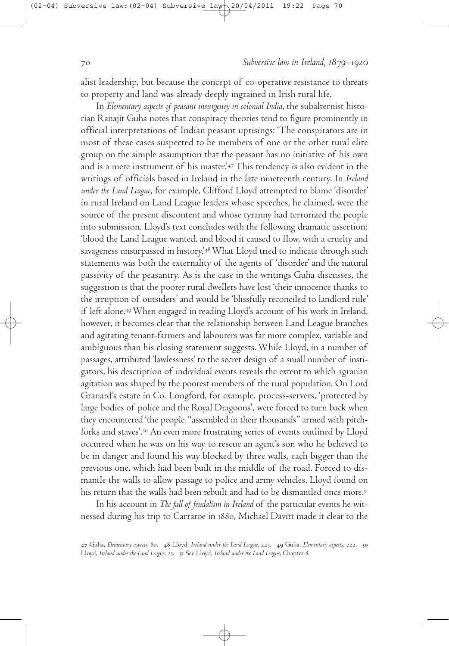alist leadership, but because the concept of co-operative resistance to threats to property and land was already deeply ingrained in Irish rural life.

In *Elementary aspects of peasant insurgency in colonial India*, the subalternist historian Ranajit Guha notes that conspiracy theories tend to figure prominently in official interpretations of Indian peasant uprisings: 'The conspirators are in most of these cases suspected to be members of one or the other rural elite group on the simple assumption that the peasant has no initiative of his own and is a mere instrument of his master.' This tendency is also evident in the writings of officials based in Ireland in the late nineteenth century. In *Ireland under the Land League*, for example, Clifford Lloyd attempted to blame 'disorder' in rural Ireland on Land League leaders whose speeches, he claimed, were the source of the present discontent and whose tyranny had terrorized the people into submission. Lloyd's text concludes with the following dramatic assertion: 'blood the Land League wanted, and blood it caused to flow, with a cruelty and savageness unsurpassed in history.' What Lloyd tried to indicate through such statements was both the externality of the agents of 'disorder' and the natural passivity of the peasantry. As is the case in the writings Guha discusses, the suggestion is that the poorer rural dwellers have lost 'their innocence thanks to the irruption of outsiders'and would be'blissfully reconciled to landlord rule' if left alone. When engaged in reading Lloyd's account of his work in Ireland, however, it becomes clear that the relationship between Land League branches and agitating tenant-farmers and labourers was far more complex, variable and ambiguous than his closing statement suggests.While Lloyd, in a number of passages, attributed 'lawlessness' to the secret design of a small number of instigators, his description of individual events reveals the extent to which agrarian agitation was shaped by the poorest members of the rural population. On Lord Granard's estate in Co. Longford, for example, process-servers, 'protected by large bodies of police and the Royal Dragoons', were forced to turn back when they encountered 'the people "assembled in their thousands" armed with pitchforks and staves'. An even more frustrating series of events outlined by Lloyd occurred when he was on his way to rescue an agent's son who he believed to be in danger and found his way blocked by three walls, each bigger than the previous one, which had been built in the middle of the road. Forced to dismantle the walls to allow passage to police and army vehicles, Lloyd found on his return that the walls had been rebuilt and had to be dismantled once more.

In his account in *The fall of feudalism in Ireland* of the particular events he witnessed during his trip to Carraroe in , Michael Davitt made it clear to the

<sup>47</sup> Guha, *Elementary* aspects, 80. 48 Lloyd, *Ireland under the Land League*, 243. 49 Guha, *Elementary* aspects, 222. 50 Lloyd, Ireland under the Land League, 25. 51 See Lloyd, Ireland under the Land League, Chapter 8.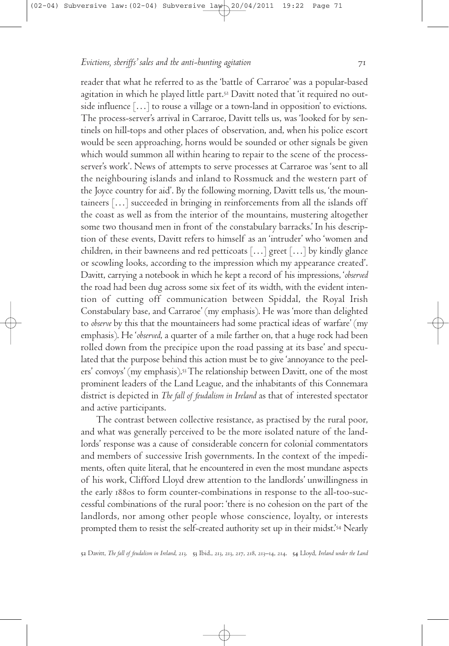reader that what he referred to as the 'battle of Carraroe' was a popular-based agitation in which he played little part. Davitt noted that 'it required no outside influence […] to rouse a village or a town-land in opposition' to evictions. The process-server's arrival in Carraroe, Davitt tells us, was 'looked for by sentinels on hill-tops and other places of observation, and, when his police escort would be seen approaching, horns would be sounded or other signals be given which would summon all within hearing to repair to the scene of the processserver's work'. News of attempts to serve processes at Carraroe was 'sent to all the neighbouring islands and inland to Rossmuck and the western part of the Joyce country for aid'. By the following morning, Davitt tells us, 'the mountaineers […] succeeded in bringing in reinforcements from all the islands off the coast as well as from the interior of the mountains, mustering altogether some two thousand men in front of the constabulary barracks.' In his description of these events, Davitt refers to himself as an 'intruder' who 'women and children, in their bawneens and red petticoats  $[\dots]$  greet  $[\dots]$  by kindly glance or scowling looks, according to the impression which my appearance created'. Davitt, carrying a notebook in which he kept a record of his impressions, '*observed* the road had been dug across some six feet of its width, with the evident intention of cutting off communication between Spiddal, the Royal Irish Constabulary base, and Carraroe' (my emphasis). He was 'more than delighted to *observe* by this that the mountaineers had some practical ideas of warfare' (my emphasis). He'*observed*, a quarter of a mile farther on, that a huge rock had been rolled down from the precipice upon the road passing at its base' and speculated that the purpose behind this action must be to give'annoyance to the peelers' convoys' (my emphasis). The relationship between Davitt, one of the most prominent leaders of the Land League, and the inhabitants of this Connemara district is depicted in *The fall of feudalism in Ireland* as that of interested spectator and active participants.

The contrast between collective resistance, as practised by the rural poor, and what was generally perceived to be the more isolated nature of the landlords' response was a cause of considerable concern for colonial commentators and members of successive Irish governments. In the context of the impediments, often quite literal, that he encountered in even the most mundane aspects of his work, Clifford Lloyd drew attention to the landlords' unwillingness in the early 1880s to form counter-combinations in response to the all-too-successful combinations of the rural poor: 'there is no cohesion on the part of the landlords, nor among other people whose conscience, loyalty, or interests prompted them to resist the self-created authority set up in their midst.'<sup>54</sup> Nearly

52 Davitt, *The fall of feudalism in Ireland*, 213. 53 Ibid., 213, 213, 217, 218, 213–14, 214. 54 Lloyd, Ireland under the Land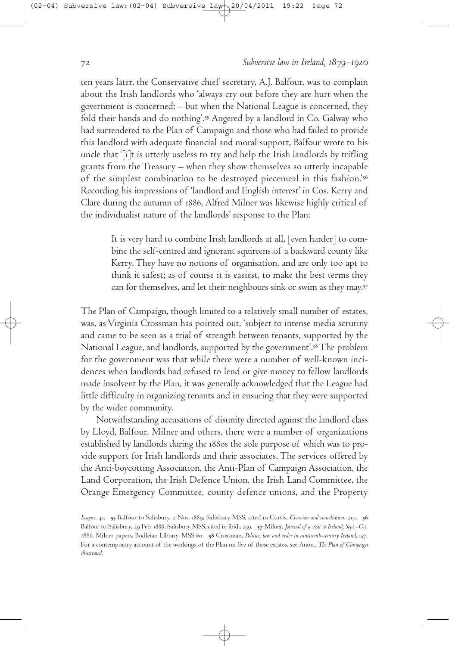ten years later, the Conservative chief secretary, A.J. Balfour, was to complain about the Irish landlords who 'always cry out before they are hurt when the government is concerned: – but when the National League is concerned, they fold their hands and do nothing'. Angered by a landlord in Co. Galway who had surrendered to the Plan of Campaign and those who had failed to provide this landlord with adequate financial and moral support, Balfour wrote to his uncle that '[i]t is utterly useless to try and help the Irish landlords by trifling grants from the Treasury – when they show themselves so utterly incapable of the simplest combination to be destroyed piecemeal in this fashion.' Recording his impressions of 'landlord and English interest' in Cos. Kerry and Clare during the autumn of 1886, Alfred Milner was likewise highly critical of the individualist nature of the landlords' response to the Plan:

> It is very hard to combine Irish landlords at all, [even harder] to combine the self-centred and ignorant squireens of a backward county like Kerry.They have no notions of organisation, and are only too apt to think it safest; as of course it is easiest, to make the best terms they can for themselves, and let their neighbours sink or swim as they may.

The Plan of Campaign, though limited to a relatively small number of estates, was, as Virginia Crossman has pointed out, 'subject to intense media scrutiny and came to be seen as a trial of strength between tenants, supported by the National League, and landlords, supported by the government'. The problem for the government was that while there were a number of well-known incidences when landlords had refused to lend or give money to fellow landlords made insolvent by the Plan, it was generally acknowledged that the League had little difficulty in organizing tenants and in ensuring that they were supported by the wider community.

Notwithstanding accusations of disunity directed against the landlord class by Lloyd, Balfour, Milner and others, there were a number of organizations established by landlords during the 1880s the sole purpose of which was to provide support for Irish landlords and their associates.The services offered by the Anti-boycotting Association, the Anti-Plan of Campaign Association, the Land Corporation, the Irish Defence Union, the Irish Land Committee, the Orange Emergency Committee, county defence unions, and the Property

League, 41. 55 Balfour to Salisbury, 2 Nov. 1889; Salisbury MSS, cited in Curtis, *Coercion and conciliation*, 217. 56 Balfour to Salisbury, 29 Feb. 1888; Salisbury MSS, cited in ibid., 239. 57 Milner, Journal of a visit to Ireland, Sept.-Oct. 1886. Milner papers, Bodleian Library, MSS 60. 58 Crossman, Politics, law and order in nineteenth-century Ireland, 157. For a contemporary account of the workings of the Plan on five of these estates, see Anon., *The Plan of Campaign illustrated*.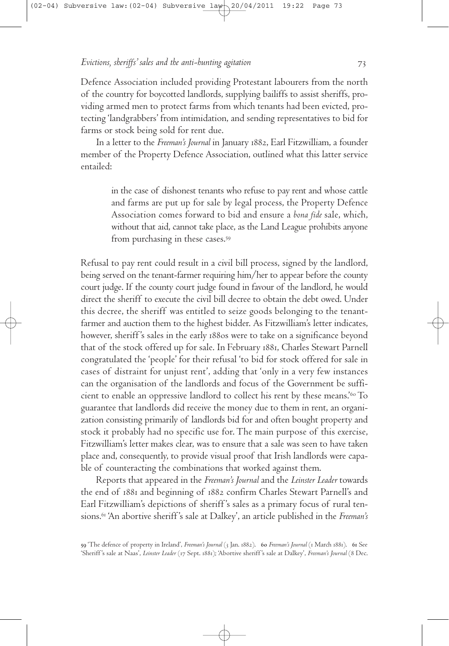Defence Association included providing Protestant labourers from the north of the country for boycotted landlords, supplying bailiffs to assist sheriffs, providing armed men to protect farms from which tenants had been evicted, protecting 'landgrabbers' from intimidation, and sending representatives to bid for farms or stock being sold for rent due.

In a letter to the *Freeman's Journal* in January , Earl Fitzwilliam, a founder member of the Property Defence Association, outlined what this latter service entailed:

> in the case of dishonest tenants who refuse to pay rent and whose cattle and farms are put up for sale by legal process, the Property Defence Association comes forward to bid and ensure a *bona fide* sale, which, without that aid, cannot take place, as the Land League prohibits anyone from purchasing in these cases.<sup>59</sup>

Refusal to pay rent could result in a civil bill process, signed by the landlord, being served on the tenant-farmer requiring him/her to appear before the county court judge. If the county court judge found in favour of the landlord, he would direct the sheriff to execute the civil bill decree to obtain the debt owed. Under this decree, the sheriff was entitled to seize goods belonging to the tenantfarmer and auction them to the highest bidder. As Fitzwilliam's letter indicates, however, sheriff's sales in the early 1880s were to take on a significance beyond that of the stock offered up for sale. In February , Charles Stewart Parnell congratulated the 'people' for their refusal 'to bid for stock offered for sale in cases of distraint for unjust rent', adding that 'only in a very few instances can the organisation of the landlords and focus of the Government be sufficient to enable an oppressive landlord to collect his rent by these means.' To guarantee that landlords did receive the money due to them in rent, an organization consisting primarily of landlords bid for and often bought property and stock it probably had no specific use for.The main purpose of this exercise, Fitzwilliam's letter makes clear, was to ensure that a sale was seen to have taken place and, consequently, to provide visual proof that Irish landlords were capable of counteracting the combinations that worked against them.

Reports that appeared in the *Freeman's Journal* and the *Leinster Leader* towards the end of 1881 and beginning of 1882 confirm Charles Stewart Parnell's and Earl Fitzwilliam's depictions of sheriff's sales as a primary focus of rural tensions. 'An abortive sheriff's sale at Dalkey', an article published in the *Freeman's*

<sup>59 &#</sup>x27;The defence of property in Ireland', *Freeman's Journal* (3 Jan. 1882). 60 Freeman's Journal (1 March 1881). 61 See 'Sheriff's sale at Naas', *Leinster Leader* (17 Sept. 1881); 'Abortive sheriff's sale at Dalkey', *Freeman's Journal* (8 Dec.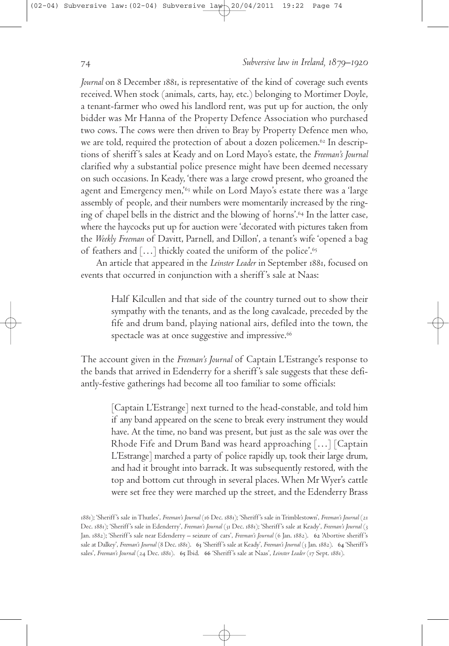*Journal* on 8 December 1881, is representative of the kind of coverage such events received.When stock (animals, carts, hay, etc.) belonging to Mortimer Doyle, a tenant-farmer who owed his landlord rent, was put up for auction, the only bidder was Mr Hanna of the Property Defence Association who purchased two cows.The cows were then driven to Bray by Property Defence men who, we are told, required the protection of about a dozen policemen.<sup>62</sup> In descriptions of sheriff's sales at Keady and on Lord Mayo's estate, the *Freeman's Journal* clarified why a substantial police presence might have been deemed necessary on such occasions. In Keady, 'there was a large crowd present, who groaned the agent and Emergency men,'<sup>63</sup> while on Lord Mayo's estate there was a 'large assembly of people, and their numbers were momentarily increased by the ringing of chapel bells in the district and the blowing of horns'. In the latter case, where the haycocks put up for auction were'decorated with pictures taken from the *Weekly Freeman* of Davitt, Parnell, and Dillon', a tenant's wife 'opened a bag of feathers and  $[...]$  thickly coated the uniform of the police'. $\rm ^{65}$ 

An article that appeared in the *Leinster Leader* in September , focused on events that occurred in conjunction with a sheriff's sale at Naas:

> Half Kilcullen and that side of the country turned out to show their sympathy with the tenants, and as the long cavalcade, preceded by the fife and drum band, playing national airs, defiled into the town, the spectacle was at once suggestive and impressive.

The account given in the *Freeman's Journal* of Captain L'Estrange's response to the bands that arrived in Edenderry for a sheriff's sale suggests that these defiantly-festive gatherings had become all too familiar to some officials:

> [Captain L'Estrange] next turned to the head-constable, and told him if any band appeared on the scene to break every instrument they would have. At the time, no band was present, but just as the sale was over the Rhode Fife and Drum Band was heard approaching […] [Captain L'Estrange] marched a party of police rapidly up, took their large drum, and had it brought into barrack. It was subsequently restored, with the top and bottom cut through in several places.When MrWyer's cattle were set free they were marched up the street, and the Edenderry Brass

); 'Sheriff's sale inThurles', *Freeman's Journal* ( Dec. ); 'Sheriff's sale inTrimblestown', *Freeman's Journal* ( Dec. 1881); 'Sheriff's sale in Edenderry', *Freeman's Journal* (31 Dec. 1881); 'Sheriff's sale at Keady', *Freeman's Journal* (3 Jan. 1882); 'Sheriff's sale near Edenderry – seizure of cars', *Freeman's* Journal (6 Jan. 1882). 62 'Abortive sheriff's sale at Dalkey', *Freeman's Journal* (8 Dec. 1881). 63 'Sheriff's sale at Keady', *Freeman's Journal* (3 Jan. 1882). 64 'Sheriff's sales', *Freeman's* Journal (24 Dec. 1881). 65 Ibid. 66 'Sheriff's sale at Naas', *Leinster Leader* (17 Sept. 1881).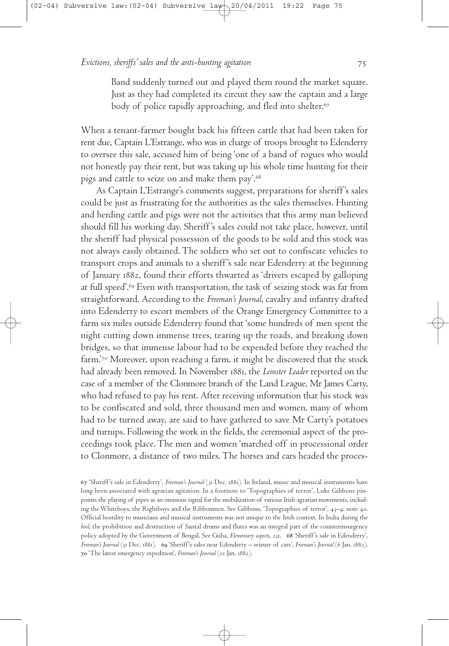Band suddenly turned out and played them round the market square. Just as they had completed its circuit they saw the captain and a large body of police rapidly approaching, and fled into shelter.

When a tenant-farmer bought back his fifteen cattle that had been taken for rent due, Captain L'Estrange, who was in charge of troops brought to Edenderry to oversee this sale, accused him of being 'one of a band of rogues who would not honestly pay their rent, but was taking up his whole time hunting for their pigs and cattle to seize on and make them pay'.

As Captain L'Estrange's comments suggest, preparations for sheriff's sales could be just as frustrating for the authorities as the sales themselves. Hunting and herding cattle and pigs were not the activities that this army man believed should fill his working day. Sheriff's sales could not take place, however, until the sheriff had physical possession of the goods to be sold and this stock was not always easily obtained.The soldiers who set out to confiscate vehicles to transport crops and animals to a sheriff's sale near Edenderry at the beginning of January , found their efforts thwarted as 'drivers escaped by galloping at full speed'.<sup>69</sup> Even with transportation, the task of seizing stock was far from straightforward. According to the *Freeman's Journal*, cavalry and infantry drafted into Edenderry to escort members of the Orange Emergency Committee to a farm six miles outside Edenderry found that 'some hundreds of men spent the night cutting down immense trees, tearing up the roads, and breaking down bridges, so that immense labour had to be expended before they reached the farm.' Moreover, upon reaching a farm, it might be discovered that the stock had already been removed. In November , the *Leinster Leader* reported on the case of a member of the Clonmore branch of the Land League, Mr James Carty, who had refused to pay his rent. After receiving information that his stock was to be confiscated and sold, three thousand men and women, many of whom had to be turned away, are said to have gathered to save Mr Carty's potatoes and turnips. Following the work in the fields, the ceremonial aspect of the proceedings took place.The men and women 'marched off in processional order to Clonmore, a distance of two miles.The horses and cars headed the proces-

<sup>67 &#</sup>x27;Sheriff's sale in Edenderry', *Freeman's Journal* (31 Dec. 1881). In Ireland, music and musical instruments have long been associated with agrarian agitation. In a footnote to 'Topographies of terror', Luke Gibbons pinpoints the playing of pipes as an ominous signal for the mobilization of various Irish agrarian movements, including the Whiteboys, the Rightboys and the Ribbonmen. See Gibbons, 'Topographies of terror', 43-4: note 40. Official hostility to musicians and musical instruments was not unique to the Irish context. In India during the *hool*, the prohibition and destruction of Santal drums and flutes was an integral part of the counterinsurgency policy adopted by the Government of Bengal. See Guha, *Elementary aspects*, 231. 68 'Sheriff's sale in Edenderry', *Freeman's Journal* (31 Dec. 1881). 69 'Sheriff's sales near Edenderry – seizure of cars', *Freeman's Journal* (6 Jan. 1882). 70 'The latest emergency expedition', *Freeman's Journal* (12 Jan. 1882).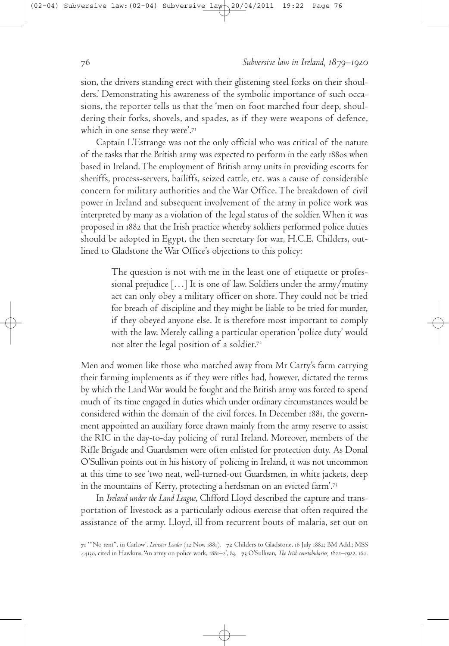sion, the drivers standing erect with their glistening steel forks on their shoulders.' Demonstrating his awareness of the symbolic importance of such occasions, the reporter tells us that the 'men on foot marched four deep, shouldering their forks, shovels, and spades, as if they were weapons of defence, which in one sense they were'.

Captain L'Estrange was not the only official who was critical of the nature of the tasks that the British army was expected to perform in the early 1880s when based in Ireland.The employment of British army units in providing escorts for sheriffs, process-servers, bailiffs, seized cattle, etc. was a cause of considerable concern for military authorities and the War Office. The breakdown of civil power in Ireland and subsequent involvement of the army in police work was interpreted by many as a violation of the legal status of the soldier.When it was proposed in that the Irish practice whereby soldiers performed police duties should be adopted in Egypt, the then secretary for war, H.C.E. Childers, outlined to Gladstone theWar Office's objections to this policy:

> The question is not with me in the least one of etiquette or professional prejudice  $\left[\ldots\right]$  It is one of law. Soldiers under the army/mutiny act can only obey a military officer on shore.They could not be tried for breach of discipline and they might be liable to be tried for murder, if they obeyed anyone else. It is therefore most important to comply with the law. Merely calling a particular operation 'police duty' would not alter the legal position of a soldier.

Men and women like those who marched away from Mr Carty's farm carrying their farming implements as if they were rifles had, however, dictated the terms by which the LandWar would be fought and the British army was forced to spend much of its time engaged in duties which under ordinary circumstances would be considered within the domain of the civil forces. In December , the government appointed an auxiliary force drawn mainly from the army reserve to assist the RIC in the day-to-day policing of rural Ireland. Moreover, members of the Rifle Brigade and Guardsmen were often enlisted for protection duty. As Donal O'Sullivan points out in his history of policing in Ireland, it was not uncommon at this time to see 'two neat, well-turned-out Guardsmen, in white jackets, deep in the mountains of Kerry, protecting a herdsman on an evicted farm'.

In *Ireland under the Land League*, Clifford Lloyd described the capture and transportation of livestock as a particularly odious exercise that often required the assistance of the army. Lloyd, ill from recurrent bouts of malaria, set out on

<sup>71 &</sup>quot;No rent", in Carlow', *Leinster Leader* (12 Nov. 1881). 72 Childers to Gladstone, 16 July 1882; BM Add.; MSS 44130, cited in Hawkins, 'An army on police work, 1881-2', 83. 73 O'Sullivan, *The Irish constabularies*, 1822-1922, 160.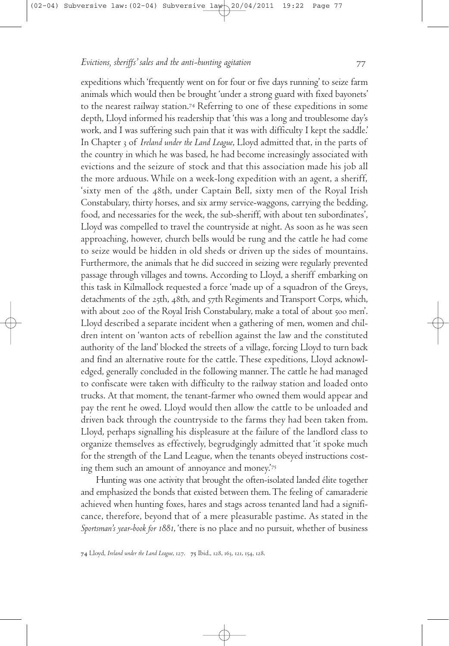expeditions which 'frequently went on for four or five days running' to seize farm animals which would then be brought 'under a strong guard with fixed bayonets' to the nearest railway station.<sup>74</sup> Referring to one of these expeditions in some depth, Lloyd informed his readership that 'this was a long and troublesome day's work, and I was suffering such pain that it was with difficulty I kept the saddle.' In Chapter 3 of *Ireland under the Land League*, Lloyd admitted that, in the parts of the country in which he was based, he had become increasingly associated with evictions and the seizure of stock and that this association made his job all the more arduous. While on a week-long expedition with an agent, a sheriff, 'sixty men of the 48th, under Captain Bell, sixty men of the Royal Irish Constabulary, thirty horses, and six army service-waggons, carrying the bedding, food, and necessaries for the week, the sub-sheriff, with about ten subordinates', Lloyd was compelled to travel the countryside at night. As soon as he was seen approaching, however, church bells would be rung and the cattle he had come to seize would be hidden in old sheds or driven up the sides of mountains. Furthermore, the animals that he did succeed in seizing were regularly prevented passage through villages and towns. According to Lloyd, a sheriff embarking on this task in Kilmallock requested a force 'made up of a squadron of the Greys, detachments of the 25th, 48th, and 57th Regiments and Transport Corps, which, with about 200 of the Royal Irish Constabulary, make a total of about 500 men'. Lloyd described a separate incident when a gathering of men, women and children intent on 'wanton acts of rebellion against the law and the constituted authority of the land' blocked the streets of a village, forcing Lloyd to turn back and find an alternative route for the cattle.These expeditions, Lloyd acknowledged, generally concluded in the following manner.The cattle he had managed to confiscate were taken with difficulty to the railway station and loaded onto trucks. At that moment, the tenant-farmer who owned them would appear and pay the rent he owed. Lloyd would then allow the cattle to be unloaded and driven back through the countryside to the farms they had been taken from. Lloyd, perhaps signalling his displeasure at the failure of the landlord class to organize themselves as effectively, begrudgingly admitted that 'it spoke much for the strength of the Land League, when the tenants obeyed instructions costing them such an amount of annoyance and money.'

Hunting was one activity that brought the often-isolated landed élite together and emphasized the bonds that existed between them.The feeling of camaraderie achieved when hunting foxes, hares and stags across tenanted land had a significance, therefore, beyond that of a mere pleasurable pastime. As stated in the *Sportsman's year-book for* , 'there is no place and no pursuit, whether of business

74 Lloyd, Ireland under the Land League, 127. 75 Ibid., 128, 163, 121, 154, 128.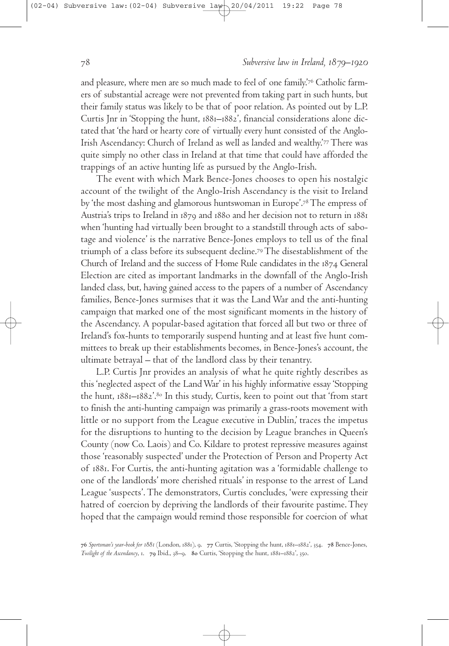and pleasure, where men are so much made to feel of one family.' Catholic farmers of substantial acreage were not prevented from taking part in such hunts, but their family status was likely to be that of poor relation. As pointed out by L.P. Curtis Jnr in 'Stopping the hunt, 1881–1882', financial considerations alone dictated that 'the hard or hearty core of virtually every hunt consisted of the Anglo-Irish Ascendancy: Church of Ireland as well as landed and wealthy.' There was quite simply no other class in Ireland at that time that could have afforded the trappings of an active hunting life as pursued by the Anglo-Irish.

The event with which Mark Bence-Jones chooses to open his nostalgic account of the twilight of the Anglo-Irish Ascendancy is the visit to Ireland by 'the most dashing and glamorous huntswoman in Europe'. The empress of Austria's trips to Ireland in 1879 and 1880 and her decision not to return in 1881 when 'hunting had virtually been brought to a standstill through acts of sabotage and violence' is the narrative Bence-Jones employs to tell us of the final triumph of a class before its subsequent decline. The disestablishment of the Church of Ireland and the success of Home Rule candidates in the  $1874$  General Election are cited as important landmarks in the downfall of the Anglo-Irish landed class, but, having gained access to the papers of a number of Ascendancy families, Bence-Jones surmises that it was the LandWar and the anti-hunting campaign that marked one of the most significant moments in the history of the Ascendancy. A popular-based agitation that forced all but two or three of Ireland's fox-hunts to temporarily suspend hunting and at least five hunt committees to break up their establishments becomes, in Bence-Jones's account, the ultimate betrayal – that of the landlord class by their tenantry.

L.P. Curtis Jnr provides an analysis of what he quite rightly describes as this 'neglected aspect of the LandWar' in his highly informative essay 'Stopping the hunt, 1881–1882'.<sup>80</sup> In this study, Curtis, keen to point out that 'from start to finish the anti-hunting campaign was primarily a grass-roots movement with little or no support from the League executive in Dublin,' traces the impetus for the disruptions to hunting to the decision by League branches in Queen's County (now Co. Laois) and Co. Kildare to protest repressive measures against those 'reasonably suspected' under the Protection of Person and Property Act of . For Curtis, the anti-hunting agitation was a 'formidable challenge to one of the landlords' more cherished rituals' in response to the arrest of Land League 'suspects'.The demonstrators, Curtis concludes, 'were expressing their hatred of coercion by depriving the landlords of their favourite pastime.They hoped that the campaign would remind those responsible for coercion of what

<sup>76</sup> Sportsman's year-book for 1881 (London, 1881), 9. 77 Curtis, 'Stopping the hunt, 1881–1882', 354. 78 Bence-Jones, *Twilight* of the Ascendancy, 1. 79 Ibid., 38-9. 80 Curtis, 'Stopping the hunt, 1881-1882', 350.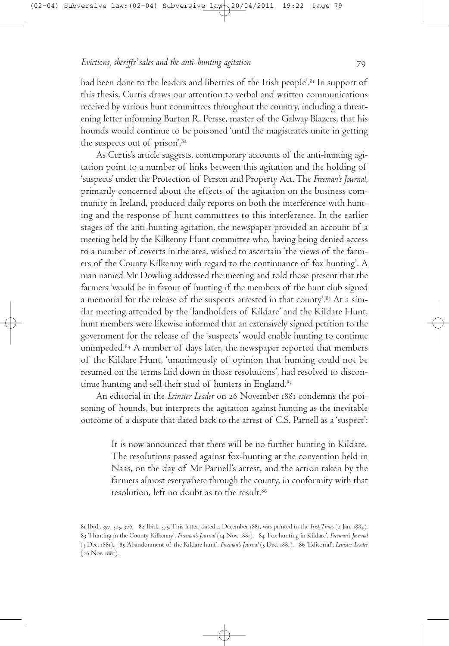had been done to the leaders and liberties of the Irish people'.<sup>81</sup> In support of this thesis, Curtis draws our attention to verbal and written communications received by various hunt committees throughout the country, including a threatening letter informing Burton R. Persse, master of the Galway Blazers, that his hounds would continue to be poisoned 'until the magistrates unite in getting the suspects out of prison'.

As Curtis's article suggests, contemporary accounts of the anti-hunting agitation point to a number of links between this agitation and the holding of 'suspects' under the Protection of Person and Property Act.The *Freeman's Journal*, primarily concerned about the effects of the agitation on the business community in Ireland, produced daily reports on both the interference with hunting and the response of hunt committees to this interference. In the earlier stages of the anti-hunting agitation, the newspaper provided an account of a meeting held by the Kilkenny Hunt committee who, having being denied access to a number of coverts in the area, wished to ascertain 'the views of the farmers of the County Kilkenny with regard to the continuance of fox hunting'. A man named Mr Dowling addressed the meeting and told those present that the farmers 'would be in favour of hunting if the members of the hunt club signed a memorial for the release of the suspects arrested in that county'. $^{8_3}\,$  At a similar meeting attended by the 'landholders of Kildare' and the Kildare Hunt, hunt members were likewise informed that an extensively signed petition to the government for the release of the 'suspects' would enable hunting to continue unimpeded.<sup>84</sup> A number of days later, the newspaper reported that members of the Kildare Hunt, 'unanimously of opinion that hunting could not be resumed on the terms laid down in those resolutions', had resolved to discontinue hunting and sell their stud of hunters in England.

An editorial in the *Leinster Leader* on 26 November 1881 condemns the poisoning of hounds, but interprets the agitation against hunting as the inevitable outcome of a dispute that dated back to the arrest of C.S. Parnell as a'suspect':

> It is now announced that there will be no further hunting in Kildare. The resolutions passed against fox-hunting at the convention held in Naas, on the day of Mr Parnell's arrest, and the action taken by the farmers almost everywhere through the county, in conformity with that resolution, left no doubt as to the result.

<sup>81</sup> Ibid., 357, 395, 376. 82 Ibid., 375. This letter, dated 4 December 1881, was printed in the *Irish Times* (2 Jan. 1882). 83 'Hunting in the County Kilkenny', *Freeman's* Journal (14 Nov. 1881). 84 'Fox hunting in Kildare', *Freeman's* Journal ( Dec. ). 'Abandonment of the Kildare hunt', *Freeman's Journal* ( Dec. ). 'Editorial', *Leinster Leader*  $(26$  Nov.  $1881)$ .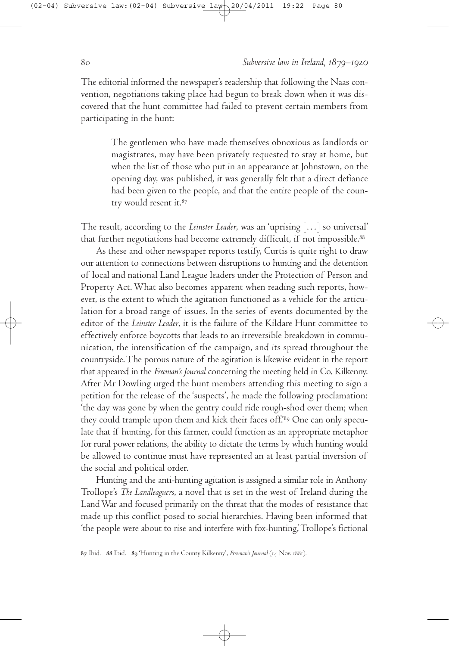The editorial informed the newspaper's readership that following the Naas convention, negotiations taking place had begun to break down when it was discovered that the hunt committee had failed to prevent certain members from participating in the hunt:

> The gentlemen who have made themselves obnoxious as landlords or magistrates, may have been privately requested to stay at home, but when the list of those who put in an appearance at Johnstown, on the opening day, was published, it was generally felt that a direct defiance had been given to the people, and that the entire people of the country would resent it.

The result, according to the *Leinster Leader*, was an 'uprising […] so universal' that further negotiations had become extremely difficult, if not impossible.<sup>88</sup>

As these and other newspaper reports testify, Curtis is quite right to draw our attention to connections between disruptions to hunting and the detention of local and national Land League leaders under the Protection of Person and Property Act.What also becomes apparent when reading such reports, however, is the extent to which the agitation functioned as a vehicle for the articulation for a broad range of issues. In the series of events documented by the editor of the *Leinster Leader*, it is the failure of the Kildare Hunt committee to effectively enforce boycotts that leads to an irreversible breakdown in communication, the intensification of the campaign, and its spread throughout the countryside.The porous nature of the agitation is likewise evident in the report that appeared in the *Freeman's Journal* concerning the meeting held in Co. Kilkenny. After Mr Dowling urged the hunt members attending this meeting to sign a petition for the release of the 'suspects', he made the following proclamation: 'the day was gone by when the gentry could ride rough-shod over them; when they could trample upon them and kick their faces off.' One can only speculate that if hunting, for this farmer, could function as an appropriate metaphor for rural power relations, the ability to dictate the terms by which hunting would be allowed to continue must have represented an at least partial inversion of the social and political order.

Hunting and the anti-hunting agitation is assigned a similar role in Anthony Trollope's *The Landleaguers*, a novel that is set in the west of Ireland during the LandWar and focused primarily on the threat that the modes of resistance that made up this conflict posed to social hierarchies. Having been informed that 'the people were about to rise and interfere with fox-hunting,'Trollope's fictional

87 Ibid. 88 Ibid. 89 'Hunting in the County Kilkenny', *Freeman's Journal* (14 Nov. 1881).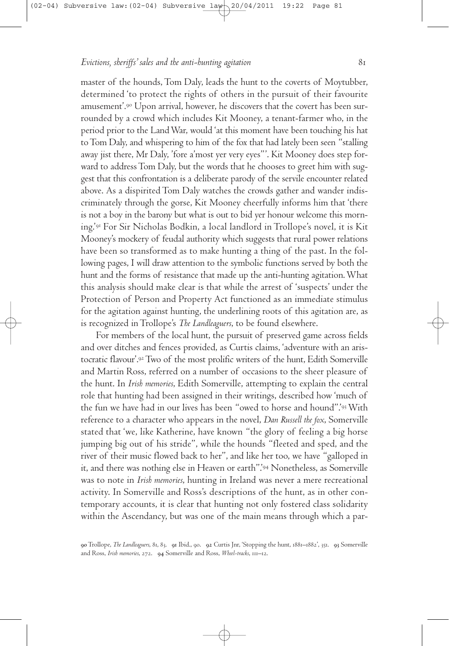master of the hounds,Tom Daly, leads the hunt to the coverts of Moytubber, determined 'to protect the rights of others in the pursuit of their favourite amusement'. Upon arrival, however, he discovers that the covert has been surrounded by a crowd which includes Kit Mooney, a tenant-farmer who, in the period prior to the LandWar, would 'at this moment have been touching his hat toTom Daly, and whispering to him of the fox that had lately been seen "stalling away jist there, Mr Daly, 'fore a'most yer very eyes"'. Kit Mooney does step forward to address Tom Daly, but the words that he chooses to greet him with suggest that this confrontation is a deliberate parody of the servile encounter related above. As a dispirited Tom Daly watches the crowds gather and wander indiscriminately through the gorse, Kit Mooney cheerfully informs him that 'there is not a boy in the barony but what is out to bid yer honour welcome this morning.' For Sir Nicholas Bodkin, a local landlord in Trollope's novel, it is Kit Mooney's mockery of feudal authority which suggests that rural power relations have been so transformed as to make hunting a thing of the past. In the following pages, I will draw attention to the symbolic functions served by both the hunt and the forms of resistance that made up the anti-hunting agitation.What this analysis should make clear is that while the arrest of 'suspects' under the Protection of Person and Property Act functioned as an immediate stimulus for the agitation against hunting, the underlining roots of this agitation are, as is recognized inTrollope's *The Landleaguers*, to be found elsewhere.

For members of the local hunt, the pursuit of preserved game across fields and over ditches and fences provided, as Curtis claims, 'adventure with an aristocratic flavour'. Two of the most prolific writers of the hunt, Edith Somerville and Martin Ross, referred on a number of occasions to the sheer pleasure of the hunt. In *Irish memories*, Edith Somerville, attempting to explain the central role that hunting had been assigned in their writings, described how 'much of the fun we have had in our lives has been "owed to horse and hound".' With reference to a character who appears in the novel, *Dan Russell the fox*, Somerville stated that 'we, like Katherine, have known "the glory of feeling a big horse jumping big out of his stride", while the hounds "fleeted and sped, and the river of their music flowed back to her", and like her too, we have "galloped in it, and there was nothing else in Heaven or earth".' Nonetheless, as Somerville was to note in *Irish memories*, hunting in Ireland was never a mere recreational activity. In Somerville and Ross's descriptions of the hunt, as in other contemporary accounts, it is clear that hunting not only fostered class solidarity within the Ascendancy, but was one of the main means through which a par-

90 Trollope, *The Landleaguers*, 81, 83. 91 Ibid., 90. 92 Curtis Jnr, 'Stopping the hunt, 1881-1882', 351. 93 Somerville and Ross, *Irish memories*, 272. 94 Somerville and Ross, *Wheel-tracks*, 111-12.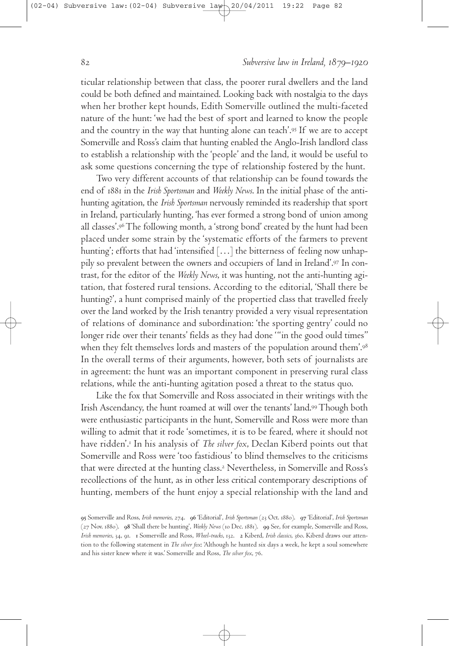ticular relationship between that class, the poorer rural dwellers and the land could be both defined and maintained. Looking back with nostalgia to the days when her brother kept hounds, Edith Somerville outlined the multi-faceted nature of the hunt: 'we had the best of sport and learned to know the people and the country in the way that hunting alone can teach'. If we are to accept Somerville and Ross's claim that hunting enabled the Anglo-Irish landlord class to establish a relationship with the 'people'and the land, it would be useful to ask some questions concerning the type of relationship fostered by the hunt.

Two very different accounts of that relationship can be found towards the end of in the *Irish Sportsman* and *Weekly News*. In the initial phase of the antihunting agitation, the *Irish Sportsman* nervously reminded its readership that sport in Ireland, particularly hunting, 'has ever formed a strong bond of union among all classes'. The following month, a'strong bond'created by the hunt had been placed under some strain by the 'systematic efforts of the farmers to prevent hunting'; efforts that had 'intensified […] the bitterness of feeling now unhappily so prevalent between the owners and occupiers of land in Ireland'.97 In contrast, for the editor of the *Weekly News*, it was hunting, not the anti-hunting agitation, that fostered rural tensions. According to the editorial, 'Shall there be hunting?', a hunt comprised mainly of the propertied class that travelled freely over the land worked by the Irish tenantry provided a very visual representation of relations of dominance and subordination: 'the sporting gentry' could no longer ride over their tenants' fields as they had done'"in the good ould times" when they felt themselves lords and masters of the population around them'. $\rm{^{98}}$ In the overall terms of their arguments, however, both sets of journalists are in agreement: the hunt was an important component in preserving rural class relations, while the anti-hunting agitation posed a threat to the status quo.

Like the fox that Somerville and Ross associated in their writings with the Irish Ascendancy, the hunt roamed at will over the tenants' land. Though both were enthusiastic participants in the hunt, Somerville and Ross were more than willing to admit that it rode 'sometimes, it is to be feared, where it should not have ridden'. In his analysis of *The silver fox*, Declan Kiberd points out that Somerville and Ross were 'too fastidious' to blind themselves to the criticisms that were directed at the hunting class. Nevertheless, in Somerville and Ross's recollections of the hunt, as in other less critical contemporary descriptions of hunting, members of the hunt enjoy a special relationship with the land and

<sup>95</sup> Somerville and Ross, *Irish memories*, 274. 96 'Editorial', *Irish Sportsman* (23 Oct. 1880). 97 'Editorial', *Irish Sportsman* (27 Nov. 1880). 98 'Shall there be hunting', *Weekly News* (10 Dec. 1881). 99 See, for example, Somerville and Ross, *Irish memories*, 34, 91. I Somerville and Ross, *Wheel-tracks*, 132. 2 Kiberd, *Irish classics*, 360. Kiberd draws our attention to the following statement in *The silver fox*: 'Although he hunted six days a week, he kept a soul somewhere and his sister knew where it was.' Somerville and Ross, *The silver fox*, 76.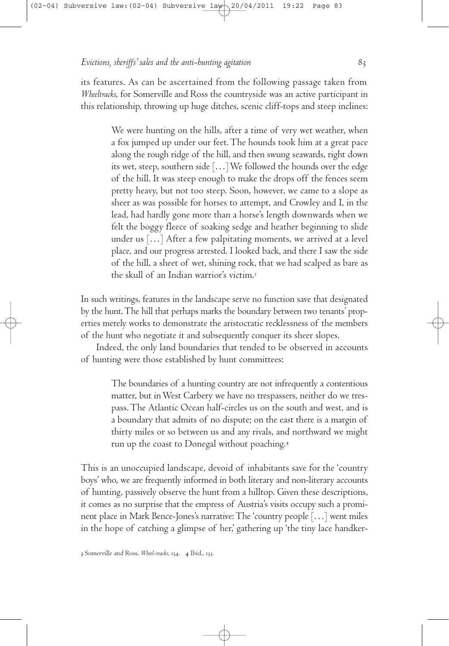its features. As can be ascertained from the following passage taken from *Wheeltracks*, for Somerville and Ross the countryside was an active participant in this relationship, throwing up huge ditches, scenic cliff-tops and steep inclines:

> We were hunting on the hills, after a time of very wet weather, when a fox jumped up under our feet.The hounds took him at a great pace along the rough ridge of the hill, and then swung seawards, right down its wet, steep, southern side […]We followed the hounds over the edge of the hill. It was steep enough to make the drops off the fences seem pretty heavy, but not too steep. Soon, however, we came to a slope as sheer as was possible for horses to attempt, and Crowley and I, in the lead, had hardly gone more than a horse's length downwards when we felt the boggy fleece of soaking sedge and heather beginning to slide under us […] After a few palpitating moments, we arrived at a level place, and our progress arrested. I looked back, and there I saw the side of the hill, a sheet of wet, shining rock, that we had scalped as bare as the skull of an Indian warrior's victim.

In such writings, features in the landscape serve no function save that designated by the hunt.The hill that perhaps marks the boundary between two tenants' properties merely works to demonstrate the aristocratic recklessness of the members of the hunt who negotiate it and subsequently conquer its sheer slopes.

Indeed, the only land boundaries that tended to be observed in accounts of hunting were those established by hunt committees:

> The boundaries of a hunting country are not infrequently a contentious matter, but inWest Carbery we have no trespassers, neither do we trespass.The Atlantic Ocean half-circles us on the south and west, and is a boundary that admits of no dispute; on the east there is a margin of thirty miles or so between us and any rivals, and northward we might run up the coast to Donegal without poaching.

This is an unoccupied landscape, devoid of inhabitants save for the 'country boys' who, we are frequently informed in both literary and non-literary accounts of hunting, passively observe the hunt from a hilltop. Given these descriptions, it comes as no surprise that the empress of Austria's visits occupy such a prominent place in Mark Bence-Jones's narrative:The'country people […] went miles in the hope of catching a glimpse of her,' gathering up 'the tiny lace handker-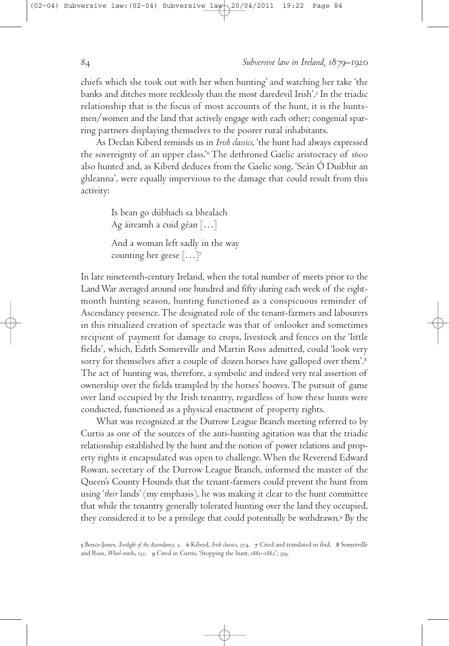chiefs which she took out with her when hunting' and watching her take 'the banks and ditches more recklessly than the most daredevil Irish'. In the triadic relationship that is the focus of most accounts of the hunt, it is the huntsmen/women and the land that actively engage with each other; congenial sparring partners displaying themselves to the poorer rural inhabitants.

As Declan Kiberd reminds us in *Irish classics*, 'the hunt had always expressed the sovereignty of an upper class.' The dethroned Gaelic aristocracy of also hunted and, as Kiberd deduces from the Gaelic song, 'Seán Ó Duibhir an ghleanna', were equally impervious to the damage that could result from this activity:

> Is bean go dúbhach sa bhealach Ag áireamh a cuid géan […]

And a woman left sadly in the way counting her geese  $[\dots]$ <sup>7</sup>

In late nineteenth-century Ireland, when the total number of meets prior to the LandWar averaged around one hundred and fifty during each week of the eightmonth hunting season, hunting functioned as a conspicuous reminder of Ascendancy presence.The designated role of the tenant-farmers and labourers in this ritualized creation of spectacle was that of onlooker and sometimes recipient of payment for damage to crops, livestock and fences on the 'little fields', which, Edith Somerville and Martin Ross admitted, could 'look very sorry for themselves after a couple of dozen horses have galloped over them'. $^s$ The act of hunting was, therefore, a symbolic and indeed very real assertion of ownership over the fields trampled by the horses' hooves.The pursuit of game over land occupied by the Irish tenantry, regardless of how these hunts were conducted, functioned as a physical enactment of property rights.

What was recognized at the Durrow League Branch meeting referred to by Curtis as one of the sources of the anti-hunting agitation was that the triadic relationship established by the hunt and the notion of power relations and property rights it encapsulated was open to challenge.When the Reverend Edward Rowan, secretary of the Durrow League Branch, informed the master of the Queen's County Hounds that the tenant-farmers could prevent the hunt from using '*their* lands' (my emphasis), he was making it clear to the hunt committee that while the tenantry generally tolerated hunting over the land they occupied, they considered it to be a privilege that could potentially be withdrawn.<sup>9</sup> By the

5 Bence-Jones, *Twilight of the Ascendancy*, 2. 6 Kiberd, *Irish classics*, 374. 7 Cited and translated in ibid. 8 Somerville and Ross, Wheel-tracks, 132. 9 Cited in Curtis, 'Stopping the hunt, 1881-1882', 359.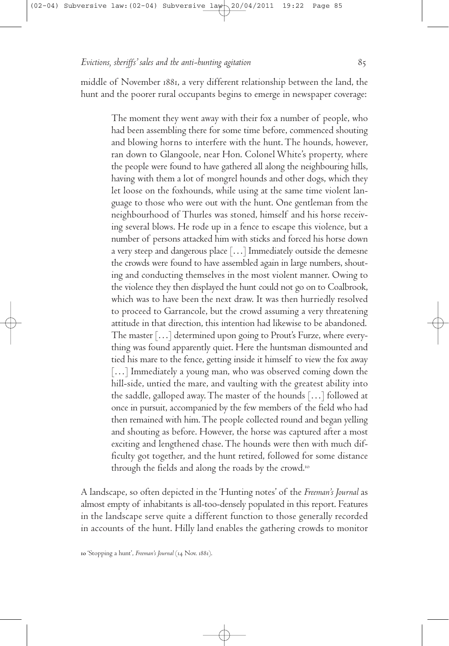middle of November 1881, a very different relationship between the land, the hunt and the poorer rural occupants begins to emerge in newspaper coverage:

> The moment they went away with their fox a number of people, who had been assembling there for some time before, commenced shouting and blowing horns to interfere with the hunt.The hounds, however, ran down to Glangoole, near Hon. Colonel White's property, where the people were found to have gathered all along the neighbouring hills, having with them a lot of mongrel hounds and other dogs, which they let loose on the foxhounds, while using at the same time violent language to those who were out with the hunt. One gentleman from the neighbourhood of Thurles was stoned, himself and his horse receiving several blows. He rode up in a fence to escape this violence, but a number of persons attacked him with sticks and forced his horse down a very steep and dangerous place […] Immediately outside the demesne the crowds were found to have assembled again in large numbers, shouting and conducting themselves in the most violent manner. Owing to the violence they then displayed the hunt could not go on to Coalbrook, which was to have been the next draw. It was then hurriedly resolved to proceed to Garrancole, but the crowd assuming a very threatening attitude in that direction, this intention had likewise to be abandoned. The master […] determined upon going to Prout's Furze, where everything was found apparently quiet. Here the huntsman dismounted and tied his mare to the fence, getting inside it himself to view the fox away […] Immediately a young man, who was observed coming down the hill-side, untied the mare, and vaulting with the greatest ability into the saddle, galloped away. The master of the hounds  $\left[\ldots\right]$  followed at once in pursuit, accompanied by the few members of the field who had then remained with him.The people collected round and began yelling and shouting as before. However, the horse was captured after a most exciting and lengthened chase.The hounds were then with much difficulty got together, and the hunt retired, followed for some distance through the fields and along the roads by the crowd.

A landscape, so often depicted in the'Hunting notes' of the *Freeman's Journal* as almost empty of inhabitants is all-too-densely populated in this report. Features in the landscape serve quite a different function to those generally recorded in accounts of the hunt. Hilly land enables the gathering crowds to monitor

10 'Stopping a hunt', *Freeman's* Journal (14 Nov. 1881).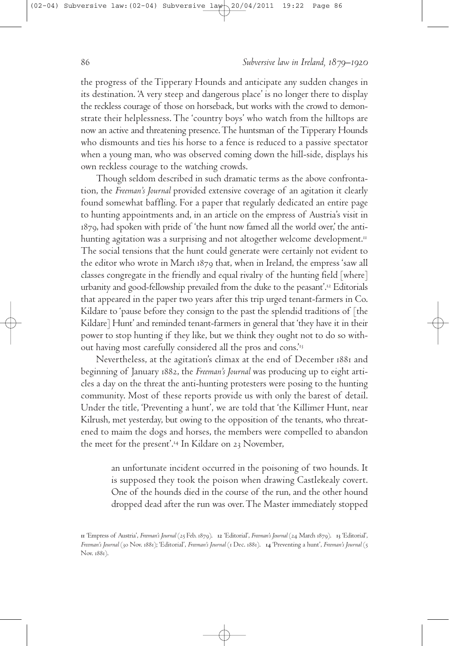the progress of theTipperary Hounds and anticipate any sudden changes in its destination. 'A very steep and dangerous place' is no longer there to display the reckless courage of those on horseback, but works with the crowd to demonstrate their helplessness.The 'country boys' who watch from the hilltops are now an active and threatening presence.The huntsman of theTipperary Hounds who dismounts and ties his horse to a fence is reduced to a passive spectator when a young man, who was observed coming down the hill-side, displays his own reckless courage to the watching crowds.

Though seldom described in such dramatic terms as the above confrontation, the *Freeman's Journal* provided extensive coverage of an agitation it clearly found somewhat baffling. For a paper that regularly dedicated an entire page to hunting appointments and, in an article on the empress of Austria's visit in , had spoken with pride of 'the hunt now famed all the world over,' the antihunting agitation was a surprising and not altogether welcome development. The social tensions that the hunt could generate were certainly not evident to the editor who wrote in March 1879 that, when in Ireland, the empress 'saw all classes congregate in the friendly and equal rivalry of the hunting field [where] urbanity and good-fellowship prevailed from the duke to the peasant'. Editorials that appeared in the paper two years after this trip urged tenant-farmers in Co. Kildare to 'pause before they consign to the past the splendid traditions of [the Kildare] Hunt'and reminded tenant-farmers in general that 'they have it in their power to stop hunting if they like, but we think they ought not to do so without having most carefully considered all the pros and cons.'

Nevertheless, at the agitation's climax at the end of December 1881 and beginning of January 1882, the *Freeman's Journal* was producing up to eight articles a day on the threat the anti-hunting protesters were posing to the hunting community. Most of these reports provide us with only the barest of detail. Under the title, 'Preventing a hunt', we are told that 'the Killimer Hunt, near Kilrush, met yesterday, but owing to the opposition of the tenants, who threatened to maim the dogs and horses, the members were compelled to abandon the meet for the present'.<sup>14</sup> In Kildare on 23 November,

> an unfortunate incident occurred in the poisoning of two hounds. It is supposed they took the poison when drawing Castlekealy covert. One of the hounds died in the course of the run, and the other hound dropped dead after the run was over.The Master immediately stopped

It 'Empress of Austria', *Freeman's Journal* (25 Feb. 1879). 12 'Editorial', *Freeman's Journal* (24 March 1879). 13 'Editorial', *Freeman's Journal* (30 Nov. 1881); 'Editorial', *Freeman's Journal* (1 Dec. 1881). 14 'Preventing a hunt', *Freeman's Journal* (5 Nov. 1881).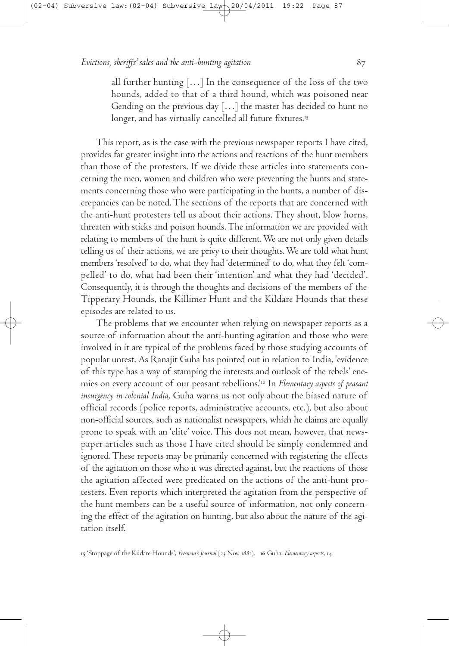all further hunting […] In the consequence of the loss of the two hounds, added to that of a third hound, which was poisoned near Gending on the previous day […] the master has decided to hunt no longer, and has virtually cancelled all future fixtures.

This report, as is the case with the previous newspaper reports I have cited, provides far greater insight into the actions and reactions of the hunt members than those of the protesters. If we divide these articles into statements concerning the men, women and children who were preventing the hunts and statements concerning those who were participating in the hunts, a number of discrepancies can be noted.The sections of the reports that are concerned with the anti-hunt protesters tell us about their actions.They shout, blow horns, threaten with sticks and poison hounds.The information we are provided with relating to members of the hunt is quite different.We are not only given details telling us of their actions, we are privy to their thoughts.We are told what hunt members 'resolved' to do, what they had 'determined' to do, what they felt 'compelled' to do, what had been their 'intention' and what they had 'decided'. Consequently, it is through the thoughts and decisions of the members of the Tipperary Hounds, the Killimer Hunt and the Kildare Hounds that these episodes are related to us.

The problems that we encounter when relying on newspaper reports as a source of information about the anti-hunting agitation and those who were involved in it are typical of the problems faced by those studying accounts of popular unrest. As Ranajit Guha has pointed out in relation to India, 'evidence of this type has a way of stamping the interests and outlook of the rebels'enemies on every account of our peasant rebellions.' In *Elementary aspects of peasant insurgency in colonial India*, Guha warns us not only about the biased nature of official records (police reports, administrative accounts, etc.), but also about non-official sources, such as nationalist newspapers, which he claims are equally prone to speak with an 'elite' voice.This does not mean, however, that newspaper articles such as those I have cited should be simply condemned and ignored.These reports may be primarily concerned with registering the effects of the agitation on those who it was directed against, but the reactions of those the agitation affected were predicated on the actions of the anti-hunt protesters. Even reports which interpreted the agitation from the perspective of the hunt members can be a useful source of information, not only concerning the effect of the agitation on hunting, but also about the nature of the agitation itself.

15 'Stoppage of the Kildare Hounds', *Freeman's Journal* (23 Nov. 1881). 16 Guha, *Elementary aspects*, 14.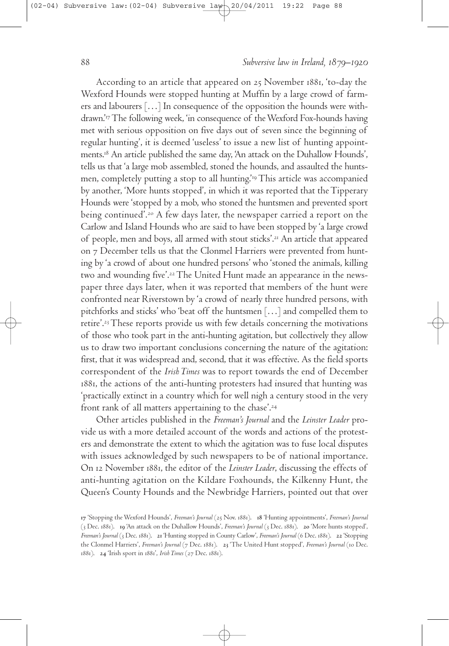According to an article that appeared on 25 November 1881, 'to-day the Wexford Hounds were stopped hunting at Muffin by a large crowd of farmers and labourers […] In consequence of the opposition the hounds were withdrawn.' The following week, 'in consequence of theWexford Fox-hounds having met with serious opposition on five days out of seven since the beginning of regular hunting', it is deemed 'useless' to issue a new list of hunting appointments. An article published the same day, 'An attack on the Duhallow Hounds', tells us that 'a large mob assembled, stoned the hounds, and assaulted the huntsmen, completely putting a stop to all hunting.' This article was accompanied by another, 'More hunts stopped', in which it was reported that theTipperary Hounds were'stopped by a mob, who stoned the huntsmen and prevented sport being continued'.20 A few days later, the newspaper carried a report on the Carlow and Island Hounds who are said to have been stopped by 'a large crowd of people, men and boys, all armed with stout sticks'. An article that appeared on 7 December tells us that the Clonmel Harriers were prevented from hunting by 'a crowd of about one hundred persons' who 'stoned the animals, killing two and wounding five'. The United Hunt made an appearance in the newspaper three days later, when it was reported that members of the hunt were confronted near Riverstown by 'a crowd of nearly three hundred persons, with pitchforks and sticks' who 'beat off the huntsmen […] and compelled them to retire'. These reports provide us with few details concerning the motivations of those who took part in the anti-hunting agitation, but collectively they allow us to draw two important conclusions concerning the nature of the agitation: first, that it was widespread and, second, that it was effective. As the field sports correspondent of the *Irish Times* was to report towards the end of December , the actions of the anti-hunting protesters had insured that hunting was 'practically extinct in a country which for well nigh a century stood in the very front rank of all matters appertaining to the chase'.

Other articles published in the *Freeman's Journal* and the *Leinster Leader* provide us with a more detailed account of the words and actions of the protesters and demonstrate the extent to which the agitation was to fuse local disputes with issues acknowledged by such newspapers to be of national importance. On 12 November 1881, the editor of the *Leinster Leader*, discussing the effects of anti-hunting agitation on the Kildare Foxhounds, the Kilkenny Hunt, the Queen's County Hounds and the Newbridge Harriers, pointed out that over

<sup>17 &#</sup>x27;Stopping the Wexford Hounds', *Freeman's Journal* (25 Nov. 1881). 18 'Hunting appointments', *Freeman's Journal* (3 Dec. 1881). 19 'An attack on the Duhallow Hounds', *Freeman's Journal* (3 Dec. 1881). 20 'More hunts stopped', *Freeman's Journal* (3 Dec. 1881). 21 Hunting stopped in County Carlow', *Freeman's Journal* (6 Dec. 1881). 22 'Stopping the Clonmel Harriers', Freeman's Journal (7 Dec. 1881). 23 'The United Hunt stopped', Freeman's Journal (10 Dec. 1881). 24 Trish sport in 1881', *Irish Times* (27 Dec. 1881).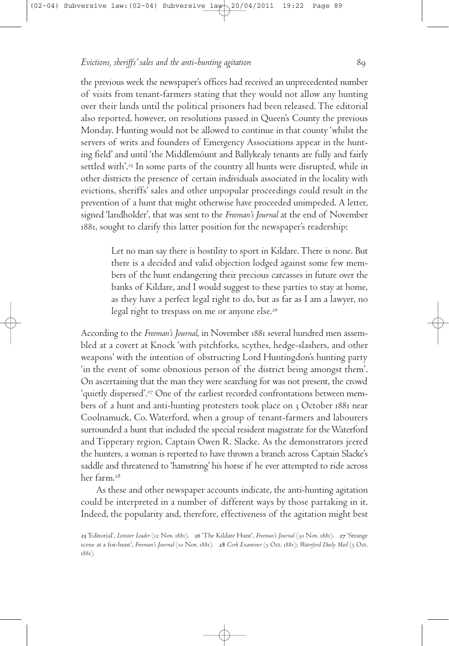the previous week the newspaper's offices had received an unprecedented number of visits from tenant-farmers stating that they would not allow any hunting over their lands until the political prisoners had been released.The editorial also reported, however, on resolutions passed in Queen's County the previous Monday. Hunting would not be allowed to continue in that county 'whilst the servers of writs and founders of Emergency Associations appear in the hunting field'and until 'the Middlemóunt and Ballykealy tenants are fully and fairly settled with'.<sup>25</sup> In some parts of the country all hunts were disrupted, while in other districts the presence of certain individuals associated in the locality with evictions, sheriffs' sales and other unpopular proceedings could result in the prevention of a hunt that might otherwise have proceeded unimpeded. A letter, signed 'landholder', that was sent to the *Freeman's Journal* at the end of November , sought to clarify this latter position for the newspaper's readership:

> Let no man say there is hostility to sport in Kildare.There is none. But there is a decided and valid objection lodged against some few members of the hunt endangering their precious carcasses in future over the banks of Kildare, and I would suggest to these parties to stay at home, as they have a perfect legal right to do, but as far as I am a lawyer, no legal right to trespass on me or anyone else.

According to the *Freeman's Journal*, in November 1881 several hundred men assembled at a covert at Knock 'with pitchforks, scythes, hedge-slashers, and other weapons' with the intention of obstructing Lord Huntingdon's hunting party 'in the event of some obnoxious person of the district being amongst them'. On ascertaining that the man they were searching for was not present, the crowd 'quietly dispersed'.<sup>27</sup> One of the earliest recorded confrontations between members of a hunt and anti-hunting protesters took place on 3 October 1881 near Coolnamuck, Co. Waterford, when a group of tenant-farmers and labourers surrounded a hunt that included the special resident magistrate for the Waterford andTipperary region, Captain Owen R. Slacke. As the demonstrators jeered the hunters, a woman is reported to have thrown a branch across Captain Slacke's saddle and threatened to 'hamstring' his horse if he ever attempted to ride across her farm.

As these and other newspaper accounts indicate, the anti-hunting agitation could be interpreted in a number of different ways by those partaking in it. Indeed, the popularity and, therefore, effectiveness of the agitation might best

<sup>25 &#</sup>x27;Editorial', *Leinster Leader* (12 Nov. 1881). 26 'The Kildare Hunt', *Freeman's Journal* (30 Nov. 1881). 27 'Strange scene at a fox-hunt', *Freeman's Journal* (10 Nov. 1881). 28 Cork *Examiner* (5 Oct. 1881); *Waterford Daily Mail* (5 Oct. 1881).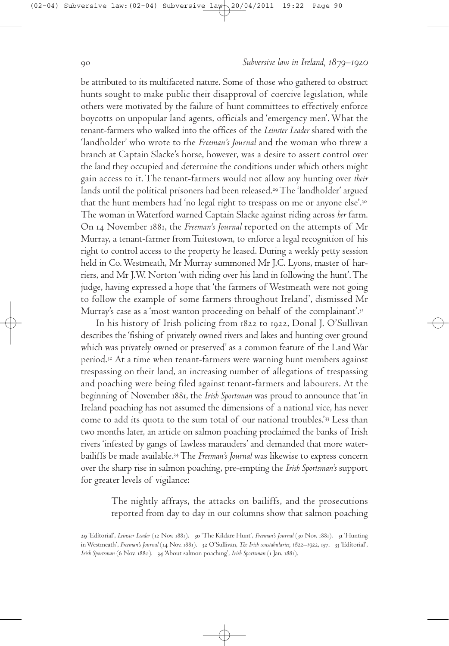be attributed to its multifaceted nature. Some of those who gathered to obstruct hunts sought to make public their disapproval of coercive legislation, while others were motivated by the failure of hunt committees to effectively enforce boycotts on unpopular land agents, officials and 'emergency men'.What the tenant-farmers who walked into the offices of the *Leinster Leader* shared with the 'landholder' who wrote to the *Freeman's Journal* and the woman who threw a branch at Captain Slacke's horse, however, was a desire to assert control over the land they occupied and determine the conditions under which others might gain access to it. The tenant-farmers would not allow any hunting over *their* lands until the political prisoners had been released. The 'landholder' argued that the hunt members had 'no legal right to trespass on me or anyone else'. The woman inWaterford warned Captain Slacke against riding across *her* farm. On 14 November 1881, the *Freeman's Journal* reported on the attempts of Mr Murray, a tenant-farmer fromTuitestown, to enforce a legal recognition of his right to control access to the property he leased. During a weekly petty session held in Co.Westmeath, Mr Murray summoned Mr J.C. Lyons, master of harriers, and Mr J.W. Norton 'with riding over his land in following the hunt'.The judge, having expressed a hope that 'the farmers of Westmeath were not going to follow the example of some farmers throughout Ireland', dismissed Mr Murray's case as a 'most wanton proceeding on behalf of the complainant'.

In his history of Irish policing from 1822 to 1922, Donal J. O'Sullivan describes the'fishing of privately owned rivers and lakes and hunting over ground which was privately owned or preserved'as a common feature of the LandWar period. At a time when tenant-farmers were warning hunt members against trespassing on their land, an increasing number of allegations of trespassing and poaching were being filed against tenant-farmers and labourers. At the beginning of November , the *Irish Sportsman* was proud to announce that 'in Ireland poaching has not assumed the dimensions of a national vice, has never come to add its quota to the sum total of our national troubles.' Less than two months later, an article on salmon poaching proclaimed the banks of Irish rivers 'infested by gangs of lawless marauders'and demanded that more waterbailiffs be made available. The *Freeman's Journal* was likewise to express concern over the sharp rise in salmon poaching, pre-empting the *Irish Sportsman's* support for greater levels of vigilance:

> The nightly affrays, the attacks on bailiffs, and the prosecutions reported from day to day in our columns show that salmon poaching

<sup>29 &#</sup>x27;Editorial', *Leinster Leader* (12 Nov. 1881). 30 'The Kildare Hunt', *Freeman's Journal* (30 Nov. 1881). 31 'Hunting in Westmeath', *Freeman's Journal* (14 Nov. 1881). 32 O'Sullivan, *The Irish constabularies*, 1822–1922, 157. 33 'Editorial', *Irish Sportsman* (6 Nov. 1880). 34 'About salmon poaching', *Irish Sportsman* (1 Jan. 1881).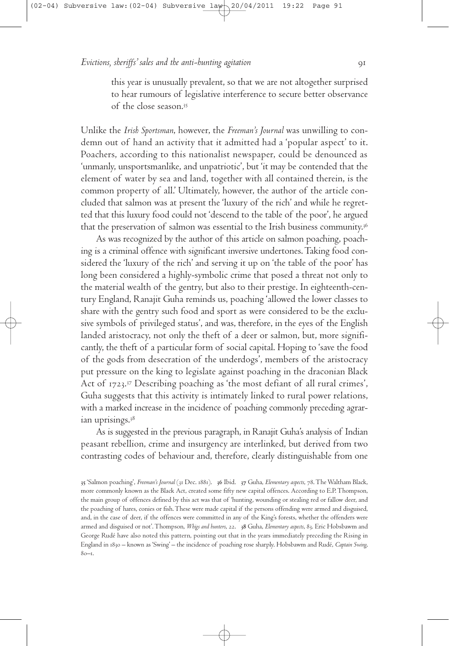this year is unusually prevalent, so that we are not altogether surprised to hear rumours of legislative interference to secure better observance of the close season.

Unlike the *Irish Sportsman*, however, the *Freeman's Journal* was unwilling to condemn out of hand an activity that it admitted had a 'popular aspect' to it. Poachers, according to this nationalist newspaper, could be denounced as 'unmanly, unsportsmanlike, and unpatriotic', but 'it may be contended that the element of water by sea and land, together with all contained therein, is the common property of all.' Ultimately, however, the author of the article concluded that salmon was at present the 'luxury of the rich' and while he regretted that this luxury food could not 'descend to the table of the poor', he argued that the preservation of salmon was essential to the Irish business community. ${}^{,\circ}$ 

As was recognized by the author of this article on salmon poaching, poaching is a criminal offence with significant inversive undertones.Taking food considered the 'luxury of the rich' and serving it up on 'the table of the poor' has long been considered a highly-symbolic crime that posed a threat not only to the material wealth of the gentry, but also to their prestige. In eighteenth-century England, Ranajit Guha reminds us, poaching 'allowed the lower classes to share with the gentry such food and sport as were considered to be the exclusive symbols of privileged status', and was, therefore, in the eyes of the English landed aristocracy, not only the theft of a deer or salmon, but, more significantly, the theft of a particular form of social capital. Hoping to 'save the food of the gods from desecration of the underdogs', members of the aristocracy put pressure on the king to legislate against poaching in the draconian Black Act of 1723.<sup>37</sup> Describing poaching as 'the most defiant of all rural crimes', Guha suggests that this activity is intimately linked to rural power relations, with a marked increase in the incidence of poaching commonly preceding agrarian uprisings.

As is suggested in the previous paragraph, in Ranajit Guha's analysis of Indian peasant rebellion, crime and insurgency are interlinked, but derived from two contrasting codes of behaviour and, therefore, clearly distinguishable from one

<sup>35 &#</sup>x27;Salmon poaching', *Freeman's Journal* (31 Dec. 1881). 36 Ibid. 37 Guha, *Elementary aspects*, 78. The Waltham Black, more commonly known as the Black Act, created some fifty new capital offences. According to E.P.Thompson, the main group of offences defined by this act was that of 'hunting, wounding or stealing red or fallow deer, and the poaching of hares, conies or fish.These were made capital if the persons offending were armed and disguised, and, in the case of deer, if the offences were committed in any of the King's forests, whether the offenders were armed and disguised or not'. Thompson, Whigs and hunters, 22. 38 Guha, *Elementary aspects*, 83. Eric Hobsbawm and George Rudé have also noted this pattern, pointing out that in the years immediately preceding the Rising in England in – known as 'Swing' – the incidence of poaching rose sharply. Hobsbawm and Rudé, *Captain Swing*,  $80 - 1.$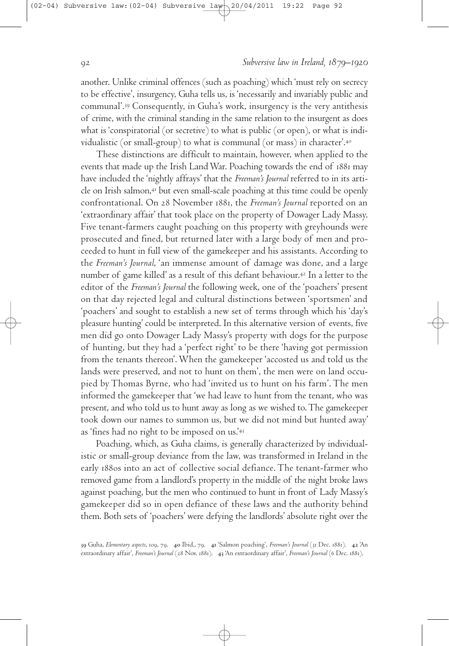another. Unlike criminal offences (such as poaching) which 'must rely on secrecy to be effective', insurgency, Guha tells us, is 'necessarily and invariably public and communal'. Consequently, in Guha's work, insurgency is the very antithesis of crime, with the criminal standing in the same relation to the insurgent as does what is 'conspiratorial (or secretive) to what is public (or open), or what is individualistic (or small-group) to what is communal (or mass) in character'.

These distinctions are difficult to maintain, however, when applied to the events that made up the Irish Land War. Poaching towards the end of 1881 may have included the'nightly affrays' that the *Freeman's Journal* referred to in its article on Irish salmon,41 but even small-scale poaching at this time could be openly confrontational. On 28 November 1881, the *Freeman's Journal* reported on an 'extraordinary affair' that took place on the property of Dowager Lady Massy. Five tenant-farmers caught poaching on this property with greyhounds were prosecuted and fined, but returned later with a large body of men and proceeded to hunt in full view of the gamekeeper and his assistants. According to the *Freeman's Journal*, 'an immense amount of damage was done, and a large number of game killed'as a result of this defiant behaviour. In a letter to the editor of the *Freeman's Journal* the following week, one of the 'poachers' present on that day rejected legal and cultural distinctions between 'sportsmen' and 'poachers' and sought to establish a new set of terms through which his 'day's pleasure hunting'could be interpreted. In this alternative version of events, five men did go onto Dowager Lady Massy's property with dogs for the purpose of hunting, but they had a 'perfect right' to be there 'having got permission from the tenants thereon'.When the gamekeeper 'accosted us and told us the lands were preserved, and not to hunt on them', the men were on land occupied by Thomas Byrne, who had 'invited us to hunt on his farm'. The men informed the gamekeeper that 'we had leave to hunt from the tenant, who was present, and who told us to hunt away as long as we wished to.The gamekeeper took down our names to summon us, but we did not mind but hunted away' as 'fines had no right to be imposed on us.'

Poaching, which, as Guha claims, is generally characterized by individualistic or small-group deviance from the law, was transformed in Ireland in the early 1880s into an act of collective social defiance. The tenant-farmer who removed game from a landlord's property in the middle of the night broke laws against poaching, but the men who continued to hunt in front of Lady Massy's gamekeeper did so in open defiance of these laws and the authority behind them. Both sets of 'poachers' were defying the landlords'absolute right over the

<sup>39</sup> Guha, *Elementary aspects*, 109, 79. 40 Ibid., 79. 41 'Salmon poaching', Freeman's Journal (31 Dec. 1881). 42 'An extraordinary affair', *Freeman's Journal* (28 Nov. 1881). 43 'An extraordinary affair', *Freeman's Journal* (6 Dec. 1881).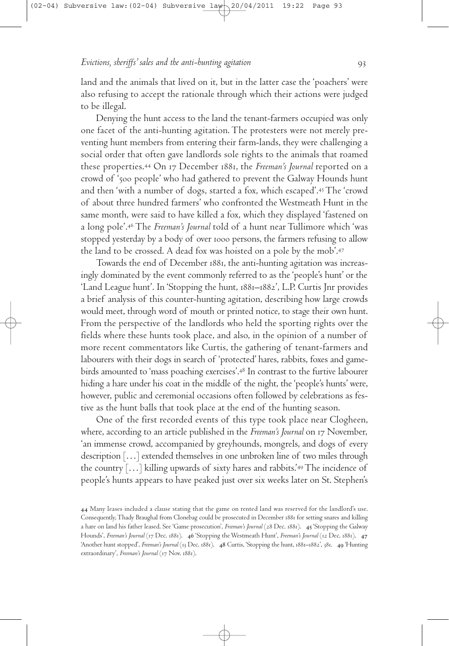land and the animals that lived on it, but in the latter case the 'poachers' were also refusing to accept the rationale through which their actions were judged to be illegal.

Denying the hunt access to the land the tenant-farmers occupied was only one facet of the anti-hunting agitation.The protesters were not merely preventing hunt members from entering their farm-lands, they were challenging a social order that often gave landlords sole rights to the animals that roamed these properties.<sup>44</sup> On 17 December 1881, the *Freeman's Journal* reported on a crowd of '500 people' who had gathered to prevent the Galway Hounds hunt and then 'with a number of dogs, started a fox, which escaped'. The 'crowd of about three hundred farmers' who confronted theWestmeath Hunt in the same month, were said to have killed a fox, which they displayed 'fastened on a long pole'. The *Freeman's Journal* told of a hunt nearTullimore which 'was stopped yesterday by a body of over 1000 persons, the farmers refusing to allow the land to be crossed. A dead fox was hoisted on a pole by the mob'.

Towards the end of December 1881, the anti-hunting agitation was increasingly dominated by the event commonly referred to as the'people's hunt' or the 'Land League hunt'. In 'Stopping the hunt, 1881–1882', L.P. Curtis Jnr provides a brief analysis of this counter-hunting agitation, describing how large crowds would meet, through word of mouth or printed notice, to stage their own hunt. From the perspective of the landlords who held the sporting rights over the fields where these hunts took place, and also, in the opinion of a number of more recent commentators like Curtis, the gathering of tenant-farmers and labourers with their dogs in search of 'protected' hares, rabbits, foxes and gamebirds amounted to 'mass poaching exercises'. In contrast to the furtive labourer hiding a hare under his coat in the middle of the night, the'people's hunts' were, however, public and ceremonial occasions often followed by celebrations as festive as the hunt balls that took place at the end of the hunting season.

One of the first recorded events of this type took place near Clogheen, where, according to an article published in the *Freeman's Journal* on 17 November, 'an immense crowd, accompanied by greyhounds, mongrels, and dogs of every description […] extended themselves in one unbroken line of two miles through the country […] killing upwards of sixty hares and rabbits.' The incidence of people's hunts appears to have peaked just over six weeks later on St. Stephen's

Many leases included a clause stating that the game on rented land was reserved for the landlord's use. Consequently, Thady Braughal from Clonebag could be prosecuted in December 1881 for setting snares and killing a hare on land his father leased. See 'Game prosecution', *Freeman's Journal* (28 Dec. 1881). 45 'Stopping the Galway Hounds', *Freeman's* Journal (17 Dec. 1881). 46 'Stopping the Westmeath Hunt', *Freeman's* Journal (12 Dec. 1881). 47 'Another hunt stopped', Freeman's Journal (13 Dec. 1881). 48 Curtis, 'Stopping the hunt, 1881-1882', 381. 49 'Hunting extraordinary', Freeman's Journal (17 Nov. 1881).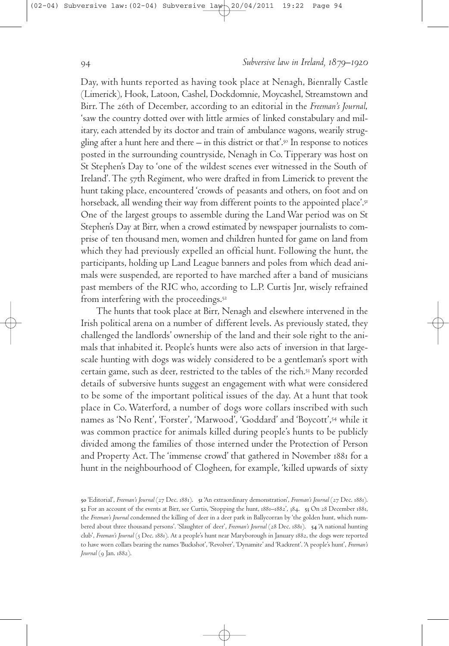### *Subversive law in Ireland, ‒*

Day, with hunts reported as having took place at Nenagh, Bienrally Castle (Limerick), Hook, Latoon, Cashel, Dockdomnie, Moycashel, Streamstown and Birr.The th of December, according to an editorial in the *Freeman's Journal*, 'saw the country dotted over with little armies of linked constabulary and military, each attended by its doctor and train of ambulance wagons, wearily struggling after a hunt here and there – in this district or that'. In response to notices posted in the surrounding countryside, Nenagh in Co.Tipperary was host on St Stephen's Day to 'one of the wildest scenes ever witnessed in the South of Ireland'. The 57th Regiment, who were drafted in from Limerick to prevent the hunt taking place, encountered 'crowds of peasants and others, on foot and on horseback, all wending their way from different points to the appointed place'. One of the largest groups to assemble during the LandWar period was on St Stephen's Day at Birr, when a crowd estimated by newspaper journalists to comprise of ten thousand men, women and children hunted for game on land from which they had previously expelled an official hunt. Following the hunt, the participants, holding up Land League banners and poles from which dead animals were suspended, are reported to have marched after a band of musicians past members of the RIC who, according to L.P. Curtis Jnr, wisely refrained from interfering with the proceedings.<sup>52</sup>

The hunts that took place at Birr, Nenagh and elsewhere intervened in the Irish political arena on a number of different levels. As previously stated, they challenged the landlords' ownership of the land and their sole right to the animals that inhabited it. People's hunts were also acts of inversion in that largescale hunting with dogs was widely considered to be a gentleman's sport with certain game, such as deer, restricted to the tables of the rich. Many recorded details of subversive hunts suggest an engagement with what were considered to be some of the important political issues of the day. At a hunt that took place in Co. Waterford, a number of dogs wore collars inscribed with such names as 'No Rent', 'Forster', 'Marwood', 'Goddard' and 'Boycott',<sup>54</sup> while it was common practice for animals killed during people's hunts to be publicly divided among the families of those interned under the Protection of Person and Property Act. The 'immense crowd' that gathered in November 1881 for a hunt in the neighbourhood of Clogheen, for example, 'killed upwards of sixty

<sup>50 &#</sup>x27;Editorial', *Freeman's Journal* (27 Dec. 1881). 51 'An extraordinary demonstration', *Freeman's Journal* (27 Dec. 1881). 52 For an account of the events at Birr, see Curtis, 'Stopping the hunt, 1881-1882', 384. 53 On 28 December 1881, the *Freeman's Journal* condemned the killing of deer in a deer park in Ballycorran by 'the golden hunt, which numbered about three thousand persons'. 'Slaughter of deer', *Freeman's Journal* (28 Dec. 1881). 54 'A national hunting club', *Freeman's Journal* (5 Dec. 1881). At a people's hunt near Maryborough in January 1882, the dogs were reported to have worn collars bearing the names 'Buckshot', 'Revolver', 'Dynamite'and 'Rackrent'. 'A people's hunt', *Freeman's Journal* (9 Jan. 1882).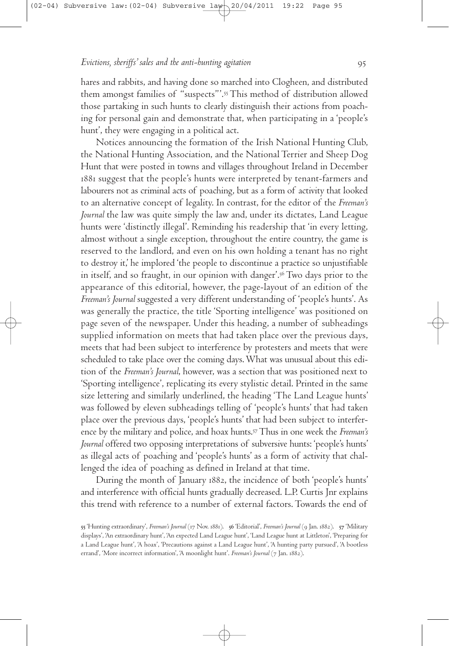hares and rabbits, and having done so marched into Clogheen, and distributed them amongst families of "suspects"'. This method of distribution allowed those partaking in such hunts to clearly distinguish their actions from poaching for personal gain and demonstrate that, when participating in a 'people's hunt', they were engaging in a political act.

Notices announcing the formation of the Irish National Hunting Club, the National Hunting Association, and the NationalTerrier and Sheep Dog Hunt that were posted in towns and villages throughout Ireland in December 1881 suggest that the people's hunts were interpreted by tenant-farmers and labourers not as criminal acts of poaching, but as a form of activity that looked to an alternative concept of legality. In contrast, for the editor of the *Freeman's Journal* the law was quite simply the law and, under its dictates, Land League hunts were 'distinctly illegal'. Reminding his readership that 'in every letting, almost without a single exception, throughout the entire country, the game is reserved to the landlord, and even on his own holding a tenant has no right to destroy it,' he implored 'the people to discontinue a practice so unjustifiable in itself, and so fraught, in our opinion with danger'. Two days prior to the appearance of this editorial, however, the page-layout of an edition of the *Freeman's Journal* suggested a very different understanding of 'people's hunts'. As was generally the practice, the title 'Sporting intelligence' was positioned on page seven of the newspaper. Under this heading, a number of subheadings supplied information on meets that had taken place over the previous days, meets that had been subject to interference by protesters and meets that were scheduled to take place over the coming days.What was unusual about this edition of the *Freeman's Journal*, however, was a section that was positioned next to 'Sporting intelligence', replicating its every stylistic detail. Printed in the same size lettering and similarly underlined, the heading 'The Land League hunts' was followed by eleven subheadings telling of 'people's hunts' that had taken place over the previous days, 'people's hunts' that had been subject to interference by the military and police, and hoax hunts. Thus in one week the *Freeman's Journal* offered two opposing interpretations of subversive hunts: 'people's hunts' as illegal acts of poaching and 'people's hunts' as a form of activity that challenged the idea of poaching as defined in Ireland at that time.

During the month of January 1882, the incidence of both 'people's hunts' and interference with official hunts gradually decreased. L.P. Curtis Jnr explains this trend with reference to a number of external factors.Towards the end of

<sup>55 &#</sup>x27;Hunting extraordinary', *Freeman's Journal* (17 Nov. 1881). 56 'Editorial', *Freeman's Journal* (9 Jan. 1882). 57 'Military displays', 'An extraordinary hunt', 'An expected Land League hunt', 'Land League hunt at Littleton', 'Preparing for a Land League hunt', 'A hoax', 'Precautions against a Land League hunt', 'A hunting party pursued', 'A bootless errand', 'More incorrect information', 'A moonlight hunt'. *Freeman's Journal* (7 Jan. 1882).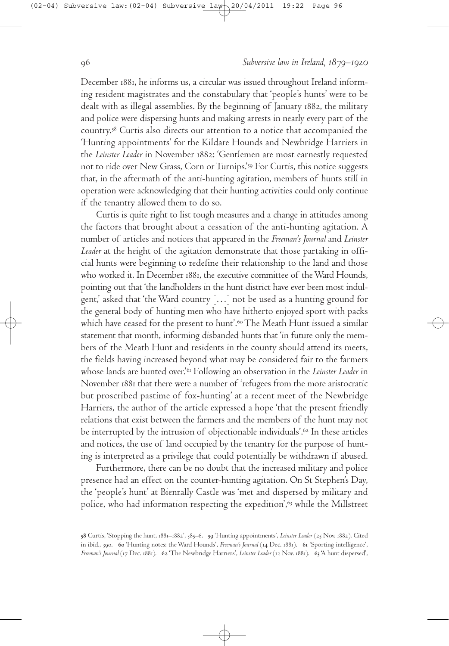December 1881, he informs us, a circular was issued throughout Ireland informing resident magistrates and the constabulary that 'people's hunts' were to be dealt with as illegal assemblies. By the beginning of January 1882, the military and police were dispersing hunts and making arrests in nearly every part of the country. Curtis also directs our attention to a notice that accompanied the 'Hunting appointments' for the Kildare Hounds and Newbridge Harriers in the *Leinster Leader* in November : 'Gentlemen are most earnestly requested not to ride over New Grass, Corn orTurnips.' For Curtis, this notice suggests that, in the aftermath of the anti-hunting agitation, members of hunts still in operation were acknowledging that their hunting activities could only continue if the tenantry allowed them to do so.

Curtis is quite right to list tough measures and a change in attitudes among the factors that brought about a cessation of the anti-hunting agitation. A number of articles and notices that appeared in the *Freeman's Journal* and *Leinster Leader* at the height of the agitation demonstrate that those partaking in official hunts were beginning to redefine their relationship to the land and those who worked it. In December 1881, the executive committee of the Ward Hounds, pointing out that 'the landholders in the hunt district have ever been most indulgent,' asked that 'the Ward country  $\lceil \ldots \rceil$  not be used as a hunting ground for the general body of hunting men who have hitherto enjoyed sport with packs which have ceased for the present to hunt'. The Meath Hunt issued a similar statement that month, informing disbanded hunts that 'in future only the members of the Meath Hunt and residents in the county should attend its meets, the fields having increased beyond what may be considered fair to the farmers whose lands are hunted over.' Following an observation in the *Leinster Leader* in November that there were a number of 'refugees from the more aristocratic but proscribed pastime of fox-hunting' at a recent meet of the Newbridge Harriers, the author of the article expressed a hope 'that the present friendly relations that exist between the farmers and the members of the hunt may not be interrupted by the intrusion of objectionable individuals'. In these articles and notices, the use of land occupied by the tenantry for the purpose of hunting is interpreted as a privilege that could potentially be withdrawn if abused.

Furthermore, there can be no doubt that the increased military and police presence had an effect on the counter-hunting agitation. On St Stephen's Day, the 'people's hunt' at Bienrally Castle was 'met and dispersed by military and police, who had information respecting the expedition',<sup>63</sup> while the Millstreet

<sup>58</sup> Curtis, 'Stopping the hunt, 1881–1882', 385–6. 59 'Hunting appointments', *Leinster Leader* (25 Nov. 1882). Cited in ibid., 390. 60 'Hunting notes: the Ward Hounds', *Freeman's Journal* (14 Dec. 1881). 61 'Sporting intelligence', Freeman's Journal (17 Dec. 1881). 62 'The Newbridge Harriers', *Leinster Leader* (12 Nov. 1881). 63 'A hunt dispersed',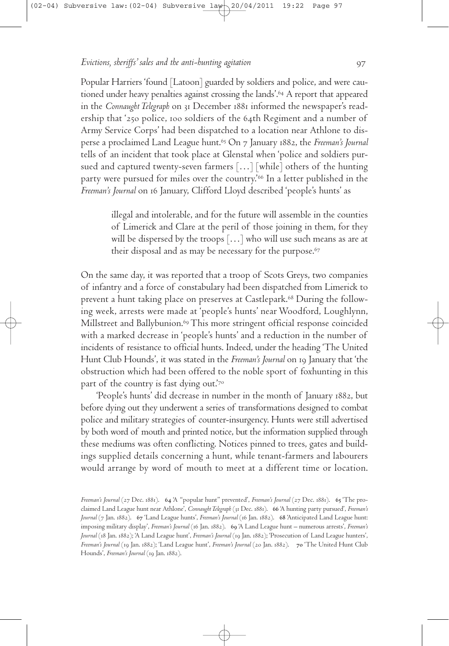Popular Harriers 'found [Latoon] guarded by soldiers and police, and were cautioned under heavy penalties against crossing the lands'. A report that appeared in the *Connaught Telegraph* on 31 December 1881 informed the newspaper's readership that  $250$  police,  $100$  soldiers of the 64th Regiment and a number of Army Service Corps' had been dispatched to a location near Athlone to disperse a proclaimed Land League hunt. On January , the *Freeman's Journal* tells of an incident that took place at Glenstal when 'police and soldiers pursued and captured twenty-seven farmers […] [while] others of the hunting party were pursued for miles over the country.' In a letter published in the *Freeman's Journal* on January, Clifford Lloyd described 'people's hunts' as

> illegal and intolerable, and for the future will assemble in the counties of Limerick and Clare at the peril of those joining in them, for they will be dispersed by the troops  $\left[\ldots\right]$  who will use such means as are at their disposal and as may be necessary for the purpose.

On the same day, it was reported that a troop of Scots Greys, two companies of infantry and a force of constabulary had been dispatched from Limerick to prevent a hunt taking place on preserves at Castlepark. During the following week, arrests were made at 'people's hunts' near Woodford, Loughlynn, Millstreet and Ballybunion. This more stringent official response coincided with a marked decrease in 'people's hunts' and a reduction in the number of incidents of resistance to official hunts. Indeed, under the heading 'The United Hunt Club Hounds', it was stated in the *Freeman's Journal* on January that 'the obstruction which had been offered to the noble sport of foxhunting in this part of the country is fast dying out.'

'People's hunts' did decrease in number in the month of January 1882, but before dying out they underwent a series of transformations designed to combat police and military strategies of counter-insurgency. Hunts were still advertised by both word of mouth and printed notice, but the information supplied through these mediums was often conflicting. Notices pinned to trees, gates and buildings supplied details concerning a hunt, while tenant-farmers and labourers would arrange by word of mouth to meet at a different time or location.

*Freeman's Journal* (27 Dec. 1881). 64 'A "popular hunt" prevented', *Freeman's Journal* (27 Dec. 1881). 65 'The proclaimed Land League hunt near Athlone', *Connaught Telegraph* (31 Dec. 1881). 66 'A hunting party pursued', *Freeman's Journal* (7 Jan. 1882). 67 'Land League hunts', *Freeman's Journal* (16 Jan. 1882). 68 'Anticipated Land League hunt: imposing military display', *Freeman's Journal* (16 Jan. 1882). 69 'A Land League hunt – numerous arrests', *Freeman's Journal* (18 Jan. 1882); 'A Land League hunt', *Freeman's Journal* (19 Jan. 1882); 'Prosecution of Land League hunters', *Freeman's Journal* (19 Jan. 1882); 'Land League hunt', *Freeman's Journal* (20 Jan. 1882). 70 'The United Hunt Club Hounds', *Freeman's* Journal (19 Jan. 1882).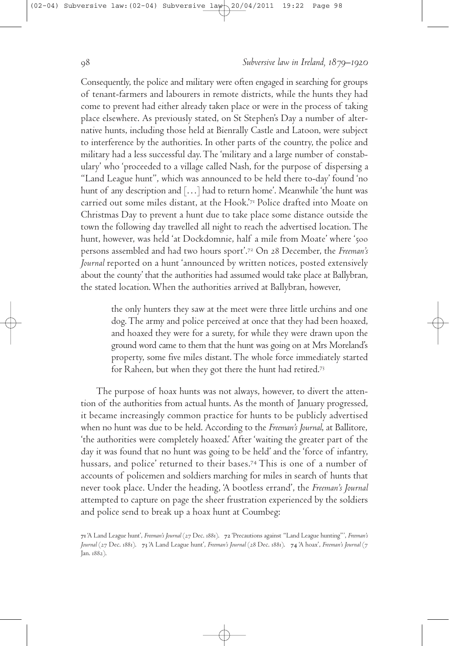Consequently, the police and military were often engaged in searching for groups of tenant-farmers and labourers in remote districts, while the hunts they had come to prevent had either already taken place or were in the process of taking place elsewhere. As previously stated, on St Stephen's Day a number of alternative hunts, including those held at Bienrally Castle and Latoon, were subject to interference by the authorities. In other parts of the country, the police and military had a less successful day.The'military and a large number of constabulary' who 'proceeded to a village called Nash, for the purpose of dispersing a "Land League hunt", which was announced to be held there to-day' found 'no hunt of any description and […] had to return home'. Meanwhile'the hunt was carried out some miles distant, at the Hook.' Police drafted into Moate on Christmas Day to prevent a hunt due to take place some distance outside the town the following day travelled all night to reach the advertised location.The hunt, however, was held 'at Dockdomnie, half a mile from Moate' where ' persons assembled and had two hours sport'.<sup>72</sup> On 28 December, the *Freeman's Journal* reported on a hunt 'announced by written notices, posted extensively about the county' that the authorities had assumed would take place at Ballybran, the stated location.When the authorities arrived at Ballybran, however,

> the only hunters they saw at the meet were three little urchins and one dog.The army and police perceived at once that they had been hoaxed, and hoaxed they were for a surety, for while they were drawn upon the ground word came to them that the hunt was going on at Mrs Moreland's property, some five miles distant.The whole force immediately started for Raheen, but when they got there the hunt had retired.

The purpose of hoax hunts was not always, however, to divert the attention of the authorities from actual hunts. As the month of January progressed, it became increasingly common practice for hunts to be publicly advertised when no hunt was due to be held. According to the *Freeman's Journal*, at Ballitore, 'the authorities were completely hoaxed.' After 'waiting the greater part of the day it was found that no hunt was going to be held' and the 'force of infantry, hussars, and police' returned to their bases.<sup>74</sup> This is one of a number of accounts of policemen and soldiers marching for miles in search of hunts that never took place. Under the heading, 'A bootless errand', the *Freeman's Journal* attempted to capture on page the sheer frustration experienced by the soldiers and police send to break up a hoax hunt at Coumbeg:

71'A Land League hunt', *Freeman's Journal* (27 Dec. 1881). 72 'Precautions against "Land League hunting"', *Freeman's Journal* (27 Dec. 1881). 73 'A Land League hunt', *Freeman's Journal* (28 Dec. 1881). 74 'A hoax', *Freeman's Journal* (7 Jan. 1882).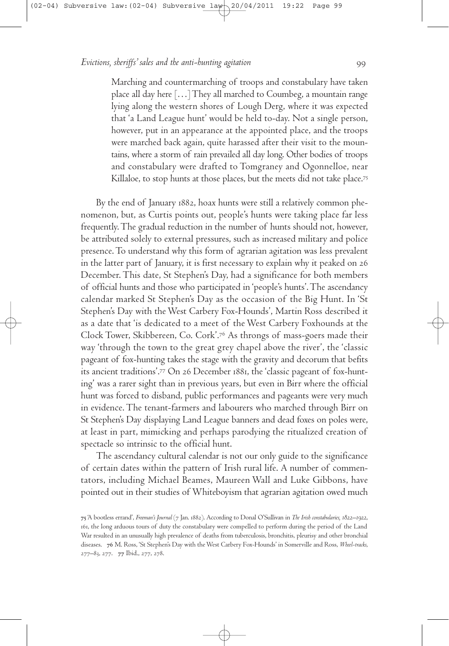Marching and countermarching of troops and constabulary have taken place all day here […]They all marched to Coumbeg, a mountain range lying along the western shores of Lough Derg, where it was expected that 'a Land League hunt' would be held to-day. Not a single person, however, put in an appearance at the appointed place, and the troops were marched back again, quite harassed after their visit to the mountains, where a storm of rain prevailed all day long. Other bodies of troops and constabulary were drafted to Tomgraney and Ogonnelloe, near Killaloe, to stop hunts at those places, but the meets did not take place.

By the end of January 1882, hoax hunts were still a relatively common phenomenon, but, as Curtis points out, people's hunts were taking place far less frequently.The gradual reduction in the number of hunts should not, however, be attributed solely to external pressures, such as increased military and police presence.To understand why this form of agrarian agitation was less prevalent in the latter part of January, it is first necessary to explain why it peaked on December.This date, St Stephen's Day, had a significance for both members of official hunts and those who participated in 'people's hunts'.The ascendancy calendar marked St Stephen's Day as the occasion of the Big Hunt. In 'St Stephen's Day with the West Carbery Fox-Hounds', Martin Ross described it as a date that 'is dedicated to a meet of the West Carbery Foxhounds at the Clock Tower, Skibbereen, Co. Cork'.<sup>76</sup> As throngs of mass-goers made their way 'through the town to the great grey chapel above the river', the 'classic pageant of fox-hunting takes the stage with the gravity and decorum that befits its ancient traditions'.<sup>77</sup> On 26 December 1881, the 'classic pageant of fox-hunting' was a rarer sight than in previous years, but even in Birr where the official hunt was forced to disband, public performances and pageants were very much in evidence.The tenant-farmers and labourers who marched through Birr on St Stephen's Day displaying Land League banners and dead foxes on poles were, at least in part, mimicking and perhaps parodying the ritualized creation of spectacle so intrinsic to the official hunt.

The ascendancy cultural calendar is not our only guide to the significance of certain dates within the pattern of Irish rural life. A number of commentators, including Michael Beames, Maureen Wall and Luke Gibbons, have pointed out in their studies of Whiteboyism that agrarian agitation owed much

<sup>75 &#</sup>x27;A bootless errand', *Freeman's Journal* (7 Jan. 1882). According to Donal O'Sullivan in *The Irish constabularies*, 1822–1922, , the long arduous tours of duty the constabulary were compelled to perform during the period of the Land War resulted in an unusually high prevalence of deaths from tuberculosis, bronchitis, pleurisy and other bronchial diseases. 76 M. Ross, 'St Stephen's Day with the West Carbery Fox-Hounds' in Somerville and Ross, Wheel-tracks, 277-83, 277. 77 Ibid., 277, 278.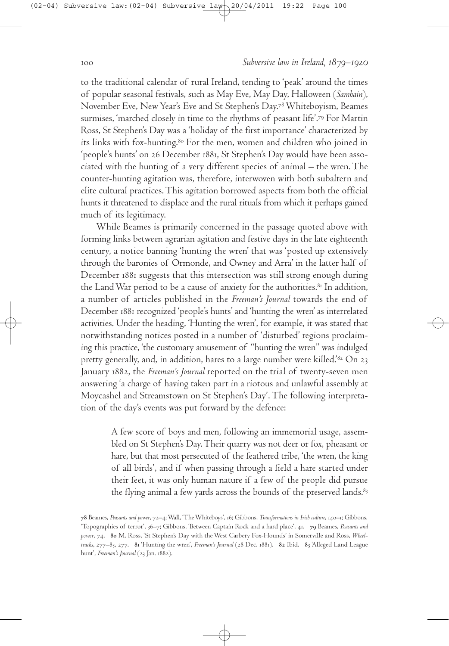to the traditional calendar of rural Ireland, tending to 'peak' around the times of popular seasonal festivals, such as May Eve, May Day, Halloween (*Samhain*), November Eve, New Year's Eve and St Stephen's Day.<sup>78</sup> Whiteboyism, Beames surmises, 'marched closely in time to the rhythms of peasant life'. For Martin Ross, St Stephen's Day was a'holiday of the first importance'characterized by its links with fox-hunting. For the men, women and children who joined in 'people's hunts' on 26 December 1881, St Stephen's Day would have been associated with the hunting of a very different species of animal – the wren.The counter-hunting agitation was, therefore, interwoven with both subaltern and elite cultural practices.This agitation borrowed aspects from both the official hunts it threatened to displace and the rural rituals from which it perhaps gained much of its legitimacy.

While Beames is primarily concerned in the passage quoted above with forming links between agrarian agitation and festive days in the late eighteenth century, a notice banning 'hunting the wren' that was 'posted up extensively through the baronies of Ormonde, and Owney and Arra' in the latter half of December 1881 suggests that this intersection was still strong enough during the Land War period to be a cause of anxiety for the authorities.<sup>81</sup> In addition, a number of articles published in the *Freeman's Journal* towards the end of December 1881 recognized 'people's hunts' and 'hunting the wren' as interrelated activities. Under the heading, 'Hunting the wren', for example, it was stated that notwithstanding notices posted in a number of 'disturbed' regions proclaiming this practice, 'the customary amusement of "hunting the wren" was indulged pretty generally, and, in addition, hares to a large number were killed.'<sup>82</sup> On 23 January 1882, the *Freeman's Journal* reported on the trial of twenty-seven men answering 'a charge of having taken part in a riotous and unlawful assembly at Moycashel and Streamstown on St Stephen's Day'.The following interpretation of the day's events was put forward by the defence:

> A few score of boys and men, following an immemorial usage, assembled on St Stephen's Day.Their quarry was not deer or fox, pheasant or hare, but that most persecuted of the feathered tribe, 'the wren, the king of all birds', and if when passing through a field a hare started under their feet, it was only human nature if a few of the people did pursue the flying animal a few yards across the bounds of the preserved lands.<sup>8</sup><sup>3</sup>

Beames, *Peasants and power*, –;Wall, 'TheWhiteboys', ; Gibbons, *Transformations in Irish culture*, –; Gibbons, 'Topographies of terror', 36-7; Gibbons, 'Between Captain Rock and a hard place', 41. 79 Beames, *Peasants and* power, 74. 80 M. Ross, 'St Stephen's Day with the West Carbery Fox-Hounds' in Somerville and Ross, Wheel*tracks*, 277–83, 277. 81 'Hunting the wren', *Freeman's Journal* (28 Dec. 1881). 82 Ibid. 83 'Alleged Land League hunt', *Freeman's Journal* (23 Jan. 1882).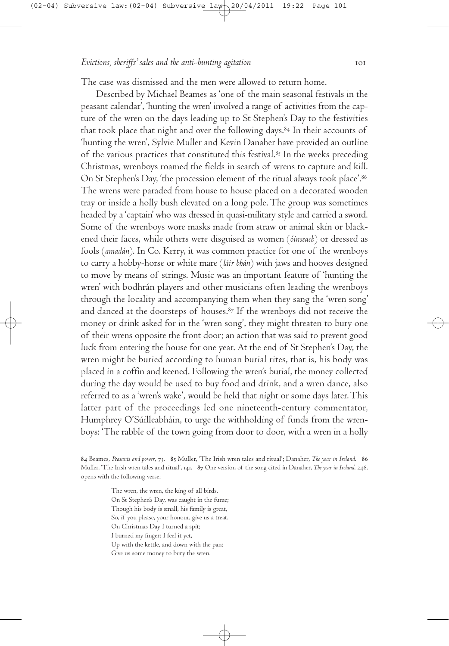The case was dismissed and the men were allowed to return home.

Described by Michael Beames as 'one of the main seasonal festivals in the peasant calendar', 'hunting the wren' involved a range of activities from the capture of the wren on the days leading up to St Stephen's Day to the festivities that took place that night and over the following days. In their accounts of 'hunting the wren', Sylvie Muller and Kevin Danaher have provided an outline of the various practices that constituted this festival.<sup>85</sup> In the weeks preceding Christmas, wrenboys roamed the fields in search of wrens to capture and kill. On St Stephen's Day, 'the procession element of the ritual always took place'. The wrens were paraded from house to house placed on a decorated wooden tray or inside a holly bush elevated on a long pole.The group was sometimes headed by a'captain' who was dressed in quasi-military style and carried a sword. Some of the wrenboys wore masks made from straw or animal skin or blackened their faces, while others were disguised as women (*óinseach*) or dressed as fools (*amadán*). In Co. Kerry, it was common practice for one of the wrenboys to carry a hobby-horse or white mare (*láir bhán*) with jaws and hooves designed to move by means of strings. Music was an important feature of 'hunting the wren' with bodhrán players and other musicians often leading the wrenboys through the locality and accompanying them when they sang the 'wren song' and danced at the doorsteps of houses. $^{87}$  If the wrenboys did not receive the money or drink asked for in the 'wren song', they might threaten to bury one of their wrens opposite the front door; an action that was said to prevent good luck from entering the house for one year. At the end of St Stephen's Day, the wren might be buried according to human burial rites, that is, his body was placed in a coffin and keened. Following the wren's burial, the money collected during the day would be used to buy food and drink, and a wren dance, also referred to as a'wren's wake', would be held that night or some days later.This latter part of the proceedings led one nineteenth-century commentator, Humphrey O'Súilleabháin, to urge the withholding of funds from the wrenboys: 'The rabble of the town going from door to door, with a wren in a holly

The wren, the wren, the king of all birds, On St Stephen's Day, was caught in the furze; Though his body is small, his family is great, So, if you please, your honour, give us a treat. On Christmas Day I turned a spit; I burned my finger: I feel it yet, Up with the kettle, and down with the pan: Give us some money to bury the wren.

<sup>84</sup> Beames, *Peasants and power*, 73. 85 Muller, 'The Irish wren tales and ritual'; Danaher, *The year in Ireland*. 86 Muller, 'The Irish wren tales and ritual', 141. 87 One version of the song cited in Danaher, *The year in Ireland*, 246, opens with the following verse: